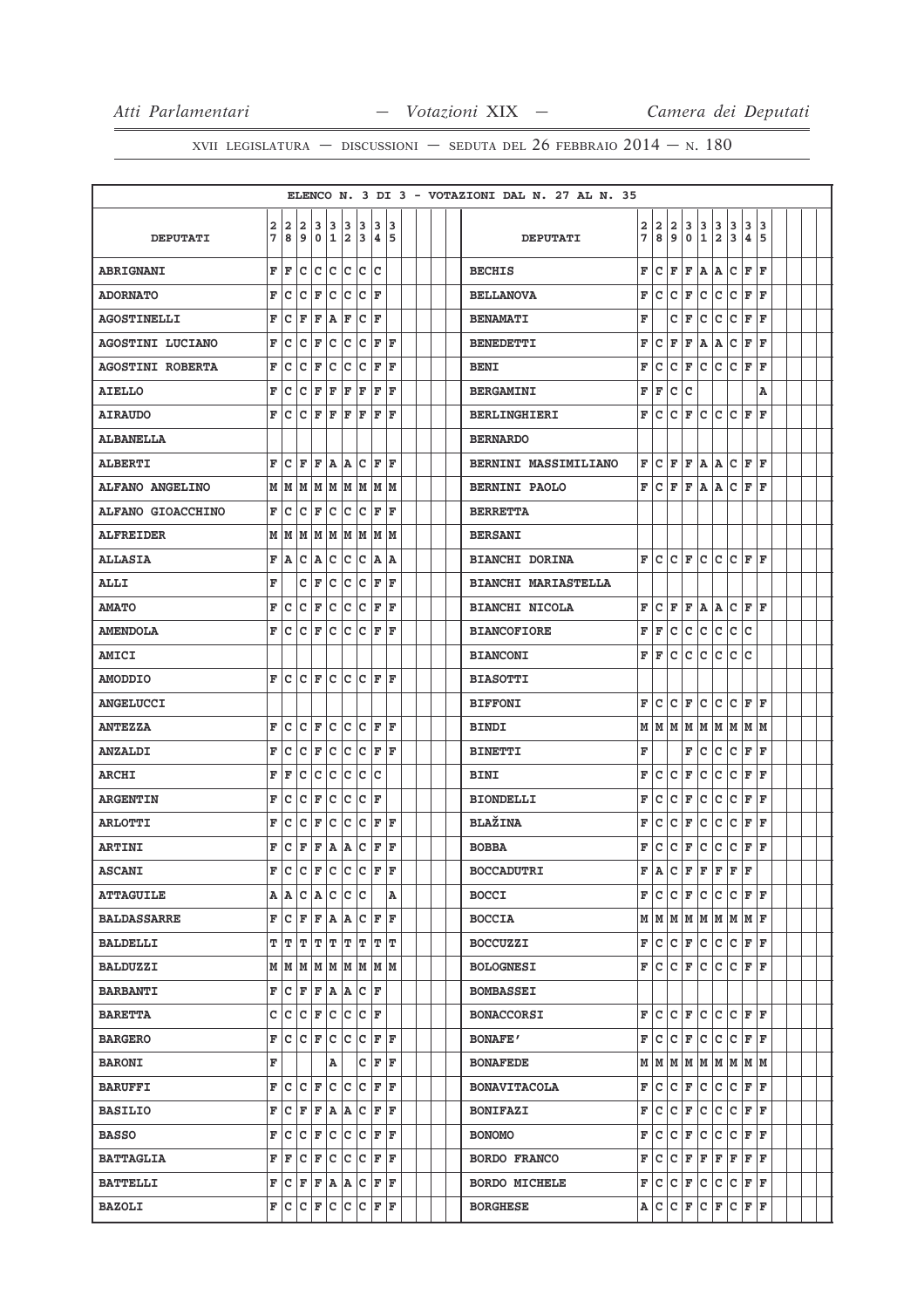|                         |                              |         |           |                                                                                                                      |                    |        |                   |              |        |  |  | ELENCO N. 3 DI 3 - VOTAZIONI DAL N. 27 AL N. 35 |        |                                     |                       |                         |        |                     |        |                     |         |  |  |
|-------------------------|------------------------------|---------|-----------|----------------------------------------------------------------------------------------------------------------------|--------------------|--------|-------------------|--------------|--------|--|--|-------------------------------------------------|--------|-------------------------------------|-----------------------|-------------------------|--------|---------------------|--------|---------------------|---------|--|--|
| <b>DEPUTATI</b>         | $\overline{\mathbf{2}}$<br>7 | 2<br>8  | 2<br>9    | 0                                                                                                                    | 3 3<br>$\mathbf 1$ | 3<br>2 | 3<br>3            | 3<br>4       | 3<br>5 |  |  | <b>DEPUTATI</b>                                 | 2<br>7 | 2<br>8                              | $\overline{2}$<br>و ا | 3<br>$\mathbf 0$        | 3<br>1 | 3<br>$\overline{a}$ | 3<br>3 | 3<br>4              | 3<br>15 |  |  |
| <b>ABRIGNANI</b>        | F                            | F       | c         | c                                                                                                                    | c                  | c      | c                 | C            |        |  |  | <b>BECHIS</b>                                   | F      | lc.                                 | F                     | F                       | A A    |                     | lc.    | F                   | l F     |  |  |
| <b>ADORNATO</b>         | F                            | с       | с         | F                                                                                                                    | c                  | c      | c                 | F            |        |  |  | <b>BELLANOVA</b>                                | F      | c                                   | c                     | F                       | c      | c                   | lc.    | F                   | ΙF      |  |  |
| <b>AGOSTINELLI</b>      | F                            | c       | F         | ΙF                                                                                                                   | A                  | F      | C                 | F            |        |  |  | <b>BENAMATI</b>                                 | F      |                                     | c                     | F                       | c      | c                   | c      | F                   | ΙF      |  |  |
| <b>AGOSTINI LUCIANO</b> | F                            | c       | c         | F                                                                                                                    | c                  | c      | ∣c                | F            | ΙF     |  |  | <b>BENEDETTI</b>                                | F      | c                                   | F                     | F                       | A      | Α                   | lc.    | F                   | ΙF      |  |  |
| <b>AGOSTINI ROBERTA</b> | F                            | c       | с         | F                                                                                                                    | с                  | с      | c                 | F            | F      |  |  | <b>BENI</b>                                     | F      | с                                   | c                     | F                       | c      | c                   | lc.    | F                   | F       |  |  |
| <b>AIELLO</b>           | F                            | c       | C         | F                                                                                                                    | F                  | F      | F                 | F            | ΙF     |  |  | <b>BERGAMINI</b>                                | F      | F                                   | c                     | c                       |        |                     |        |                     | Α       |  |  |
| <b>AIRAUDO</b>          | F                            | c       | c         | ΙF                                                                                                                   | $\mathbf F$        | F      | F                 | F            | F      |  |  | <b>BERLINGHIERI</b>                             | F      | c                                   | c                     | F                       | lc.    | c                   | lc.    | F                   | F       |  |  |
| <b>ALBANELLA</b>        |                              |         |           |                                                                                                                      |                    |        |                   |              |        |  |  | <b>BERNARDO</b>                                 |        |                                     |                       |                         |        |                     |        |                     |         |  |  |
| <b>ALBERTI</b>          | F                            | c       | F         | ΙF                                                                                                                   | ١A                 | lA.    | c                 | F            | ΙF     |  |  | <b>BERNINI MASSIMILIANO</b>                     | F      | c                                   | F                     | F                       | A A    |                     | c      | F                   | l F     |  |  |
| <b>ALFANO ANGELINO</b>  | M                            | M       | M         | M                                                                                                                    | lм                 | lм     | M                 | M            | M      |  |  | <b>BERNINI PAOLO</b>                            | F      | c                                   | F                     | F                       | lA.    | A                   | c      | F                   | l F     |  |  |
| ALFANO GIOACCHINO       | F                            | с       | c         | F                                                                                                                    | c                  | c      | c                 | F            | F      |  |  | <b>BERRETTA</b>                                 |        |                                     |                       |                         |        |                     |        |                     |         |  |  |
| <b>ALFREIDER</b>        | М                            | lМ      | M         | M                                                                                                                    | M                  | M      | M                 | M            | M      |  |  | <b>BERSANI</b>                                  |        |                                     |                       |                         |        |                     |        |                     |         |  |  |
| <b>ALLASIA</b>          | F                            | A       | с         | A                                                                                                                    | c                  | c      | c                 | A            | ١A     |  |  | <b>BIANCHI DORINA</b>                           | F      | lc.                                 | lc.                   | F                       | lc.    | c                   | lc.    | F                   | l F     |  |  |
| ALLI                    | F                            |         | c         | F                                                                                                                    | c                  | с      | c                 | F            | F      |  |  | <b>BIANCHI MARIASTELLA</b>                      |        |                                     |                       |                         |        |                     |        |                     |         |  |  |
| <b>AMATO</b>            | F                            | c       | C         | F                                                                                                                    | c                  | c      | c                 | F            | ΙF     |  |  | <b>BIANCHI NICOLA</b>                           | F      | c                                   | F                     | F                       | lA.    | A                   | lc.    | F                   | l F     |  |  |
| <b>AMENDOLA</b>         | F                            | c       | c         | F                                                                                                                    | c                  | c      | c                 | F            | ΙF     |  |  | <b>BIANCOFIORE</b>                              | F      | F                                   | c                     | $\mathbf C$             | c      | c                   | lc.    | Ιc                  |         |  |  |
| AMICI                   |                              |         |           |                                                                                                                      |                    |        |                   |              |        |  |  | <b>BIANCONI</b>                                 | F      | l F                                 | c                     | c                       | c      | c                   | c      | c                   |         |  |  |
| <b>AMODDIO</b>          | F                            | c       | lc.       | lF.                                                                                                                  | lc.                | lc.    | lc.               | F            | ΙF     |  |  | <b>BIASOTTI</b>                                 |        |                                     |                       |                         |        |                     |        |                     |         |  |  |
| <b>ANGELUCCI</b>        |                              |         |           |                                                                                                                      |                    |        |                   |              |        |  |  | <b>BIFFONI</b>                                  | F      | c                                   | c                     | F                       | c      | c                   | c      | F                   | l F     |  |  |
| <b>ANTEZZA</b>          | F                            | c       | c         | F                                                                                                                    | c                  | c      | c                 | F            | ΙF     |  |  | <b>BINDI</b>                                    | М      | M   M   M                           |                       |                         |        |                     |        | $M$ $M$ $M$ $M$ $M$ |         |  |  |
| <b>ANZALDI</b>          | F                            | c       | c         | F                                                                                                                    | c                  | с      | c                 | F            | ΙF     |  |  | <b>BINETTI</b>                                  | F      |                                     |                       | F                       | c      | c                   | lc.    | F                   | ΙF      |  |  |
| <b>ARCHI</b>            | F                            | F       | c         | c                                                                                                                    | c                  | C      | c                 | c            |        |  |  | <b>BINI</b>                                     | F      | c                                   | c                     | F                       | c      | c                   | c      | F                   | ΙF      |  |  |
| <b>ARGENTIN</b>         | F                            | c       | c         | F                                                                                                                    | $\mathbf C$        | c      | c                 | F            |        |  |  | <b>BIONDELLI</b>                                | F      | c                                   | c                     | F                       | c      | c                   | lc.    | F                   | ΙF      |  |  |
| <b>ARLOTTI</b>          | F                            | c       | c         | F                                                                                                                    | c                  | c      | c                 | F            | ΙF     |  |  | <b>BLAŽINA</b>                                  | F      | с                                   | c                     | F                       | c      | c                   | c      | F                   | l F     |  |  |
| <b>ARTINI</b>           | F                            | c       | F         | F                                                                                                                    | A                  | A      | c                 | F            | F      |  |  | <b>BOBBA</b>                                    | F      | c                                   | c                     | F                       | c      | $\mathsf{C}$        | lc.    | F                   | ΙF      |  |  |
| <b>ASCANI</b>           | F                            | ١c      | c         | F                                                                                                                    | c                  | c      | c                 | F            | ΙF     |  |  | <b>BOCCADUTRI</b>                               | F      | lA.                                 | c                     | F                       | F      | F                   | F      | F                   |         |  |  |
| <b>ATTAGUILE</b>        |                              |         | A   A   C | A C C C                                                                                                              |                    |        |                   |              | A      |  |  | <b>BOCCI</b>                                    | F      | lc.                                 | с                     | F                       |        |                     |        | C C C F F           |         |  |  |
| <b>BALDASSARRE</b>      | F                            | $ c $ F |           | F                                                                                                                    | A A C F F          |        |                   |              |        |  |  | <b>BOCCIA</b>                                   |        | $M$ $M$ $M$ $M$ $M$ $M$ $M$ $F$     |                       |                         |        |                     |        |                     |         |  |  |
| <b>BALDELLI</b>         | т                            | T       | т         | T                                                                                                                    | т                  | T      | T                 | т            | ΙT     |  |  | <b>BOCCUZZI</b>                                 | F      | lc.                                 |                       | $ {\tt C} \,  $ $\tt F$ | c c    |                     |        | C F F               |         |  |  |
| <b>BALDUZZI</b>         |                              |         |           | $M$ $M$ $M$ $M$ $M$ $M$ $M$ $M$ $M$                                                                                  |                    |        |                   |              |        |  |  | <b>BOLOGNESI</b>                                | F      | lc.                                 |                       | $ C $ F                 |        |                     |        | C C C F F           |         |  |  |
| <b>BARBANTI</b>         | F                            | Iс      | F         | F                                                                                                                    | A                  | A      | $ {\tt C} \;  $ F |              |        |  |  | <b>BOMBASSEI</b>                                |        |                                     |                       |                         |        |                     |        |                     |         |  |  |
| <b>BARETTA</b>          | с                            |         | c c       | F                                                                                                                    | c                  |        | C C F             |              |        |  |  | <b>BONACCORSI</b>                               | F      | с                                   |                       | $ C $ F                 |        |                     |        | C C C F F           |         |  |  |
| <b>BARGERO</b>          | F                            | с       |           | $ C $ $\mathbf{F}$                                                                                                   | lc.                | c      | c                 | F F          |        |  |  | <b>BONAFE'</b>                                  | F      | c                                   | Iс                    | F                       | c      | c                   | c      | F                   | lF.     |  |  |
| <b>BARONI</b>           | F                            |         |           |                                                                                                                      | Α                  |        | с                 | F F          |        |  |  | <b>BONAFEDE</b>                                 |        | $M$ $M$ $M$ $M$ $M$ $M$ $M$ $M$ $M$ |                       |                         |        |                     |        |                     |         |  |  |
| <b>BARUFFI</b>          | F                            | с       | c         | F                                                                                                                    | c                  | c      | c                 | F            | ١F     |  |  | <b>BONAVITACOLA</b>                             | F      | lc.                                 |                       | $ {\tt C} \,  $ $\tt F$ | lc.    | c                   |        | C F F               |         |  |  |
| <b>BASILIO</b>          | F                            | с       | F         | F                                                                                                                    | A                  | A      | c                 | $\mathbf{F}$ | ١F     |  |  | <b>BONIFAZI</b>                                 | F      | Iс                                  | с                     | F                       | Iс     | c                   | lc.    | F                   | lF.     |  |  |
| <b>BASSO</b>            | F                            |         |           | C  C  F  C  C  C  F  F                                                                                               |                    |        |                   |              |        |  |  | <b>BONOMO</b>                                   | F      | c                                   | c                     | F                       | c      | c                   |        | C F F               |         |  |  |
| <b>BATTAGLIA</b>        | F                            | F       | с         | F                                                                                                                    | c                  | c      | с                 | F            | ΙF     |  |  | <b>BORDO FRANCO</b>                             | F      | c                                   | с                     | F                       | F      | F                   | F      | lF.                 | lF.     |  |  |
| <b>BATTELLI</b>         |                              |         |           | $\mathbf{F}   \mathbf{C}   \mathbf{F}   \mathbf{F}   \mathbf{A}   \mathbf{A}   \mathbf{C}   \mathbf{F}   \mathbf{F}$ |                    |        |                   |              |        |  |  | <b>BORDO MICHELE</b>                            | F      | $ C C $ $\mathbf{F}$                |                       |                         |        |                     |        | C C C F F           |         |  |  |
| <b>BAZOLI</b>           | F                            | IС      |           | C F C C C F                                                                                                          |                    |        |                   |              | F      |  |  | <b>BORGHESE</b>                                 | А      | c                                   | $ {\bf c} $           | F                       | ∣c     | F                   | c      | F                   | ΙF      |  |  |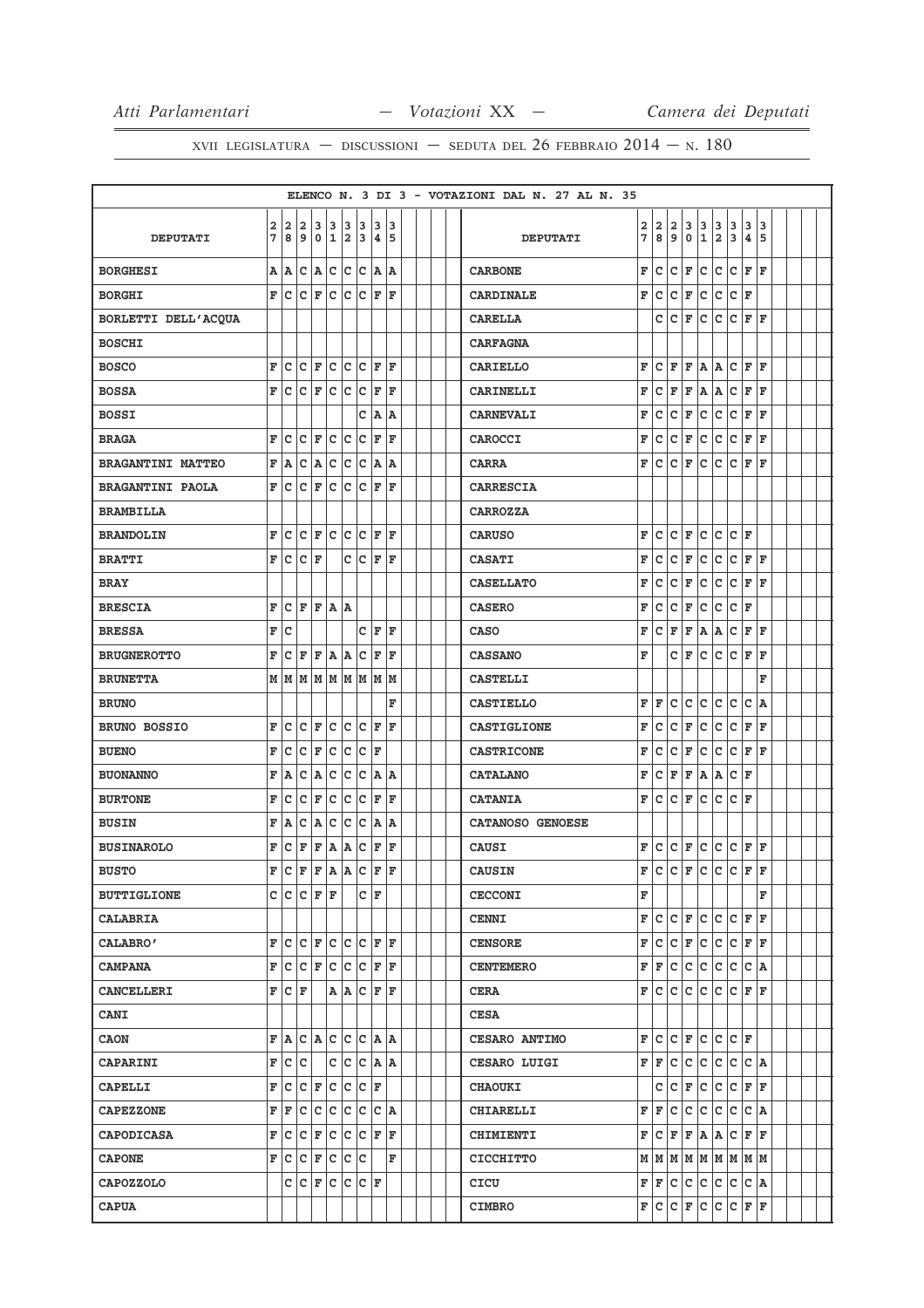|                          |        |        |                                                                                                                          |       |                    |        |                      |                |           |  |  | ELENCO N. 3 DI 3 - VOTAZIONI DAL N. 27 AL N. 35 |        |        |                                |                    |             |                |                                               |         |         |  |
|--------------------------|--------|--------|--------------------------------------------------------------------------------------------------------------------------|-------|--------------------|--------|----------------------|----------------|-----------|--|--|-------------------------------------------------|--------|--------|--------------------------------|--------------------|-------------|----------------|-----------------------------------------------|---------|---------|--|
| <b>DEPUTATI</b>          | 2<br>7 | 2<br>8 | 2<br>9                                                                                                                   | 0     | 3 3<br>$\mathbf 1$ | 3<br>2 | 3<br>3               | 3<br>$\pmb{4}$ | 13<br>5   |  |  | <b>DEPUTATI</b>                                 | 2<br>7 | 2<br>8 | $\overline{\mathbf{2}}$<br>و ا | 3<br>$\mathbf 0$   | 3<br>1      | $\frac{3}{2}$  | 3<br>3                                        | 3<br>4  | 3<br>15 |  |
| <b>BORGHESI</b>          | Α      | A      | c                                                                                                                        | A     | c                  |        | c c                  | ۱A.            | ١A        |  |  | <b>CARBONE</b>                                  | F      | lc.    | c                              | F                  | c           | c              | c                                             | F       | l F     |  |
| <b>BORGHI</b>            | F      | C      | C                                                                                                                        | F     | c                  | lc.    | C                    | l F            | l F       |  |  | <b>CARDINALE</b>                                | F      | c      | c                              | F                  | c           | c              | lc.                                           | ΙF      |         |  |
| BORLETTI DELL'ACQUA      |        |        |                                                                                                                          |       |                    |        |                      |                |           |  |  | <b>CARELLA</b>                                  |        | c      | c                              | F                  | c           | c              | c                                             | F       | ΙF      |  |
| <b>BOSCHI</b>            |        |        |                                                                                                                          |       |                    |        |                      |                |           |  |  | <b>CARFAGNA</b>                                 |        |        |                                |                    |             |                |                                               |         |         |  |
| <b>BOSCO</b>             | F      | c      | c                                                                                                                        | F     | c                  | c      | c                    | F              | ΙF        |  |  | <b>CARIELLO</b>                                 | F      | c      | F                              | F                  | A           | Α              | c                                             | F       | l F     |  |
| <b>BOSSA</b>             | F      | Iс     | lc.                                                                                                                      | F     | c                  | c      | ∣c                   | F              | ΙF        |  |  | <b>CARINELLI</b>                                | F      | c      | F                              | F                  | A           | A              | c                                             | F       | ΙF      |  |
| <b>BOSSI</b>             |        |        |                                                                                                                          |       |                    |        | с                    | A              | A         |  |  | <b>CARNEVALI</b>                                | F      | с      | C                              | F                  | c           | $\mathtt{C}$   | c                                             | F       | l F     |  |
| <b>BRAGA</b>             | F      | C      | C                                                                                                                        | F     | c                  | c      | C                    | F              | ΙF        |  |  | CAROCCI                                         | F      | lc.    | c                              | F                  | c           | c              | c                                             | F       | l F     |  |
| <b>BRAGANTINI MATTEO</b> | F      | A      | c                                                                                                                        | A     | c                  | c      | c                    | A              | ١A        |  |  | <b>CARRA</b>                                    | F      | c      | c                              | F                  | Ιc          | c              | lc.                                           | F       | lF.     |  |
| <b>BRAGANTINI PAOLA</b>  | F      | c      | C                                                                                                                        | F     | C                  | c      | C                    | F              | ΙF        |  |  | <b>CARRESCIA</b>                                |        |        |                                |                    |             |                |                                               |         |         |  |
| <b>BRAMBILLA</b>         |        |        |                                                                                                                          |       |                    |        |                      |                |           |  |  | <b>CARROZZA</b>                                 |        |        |                                |                    |             |                |                                               |         |         |  |
| <b>BRANDOLIN</b>         | F      | c      | c                                                                                                                        | F     | c                  | c      | c                    | F              | F         |  |  | <b>CARUSO</b>                                   | F      | c      | c                              | F                  | c           | c              | lc.                                           | ΙF      |         |  |
| <b>BRATTI</b>            | F      | c      | c                                                                                                                        | ١F    |                    | c      | c                    | F              | F         |  |  | <b>CASATI</b>                                   | F      | lc.    | c                              | F                  | c           | c              | c                                             | F       | lF.     |  |
| <b>BRAY</b>              |        |        |                                                                                                                          |       |                    |        |                      |                |           |  |  | <b>CASELLATO</b>                                | F      | c      | c                              | F                  | c           | $\mathtt{C}$   | c                                             | F       | l F     |  |
| <b>BRESCIA</b>           | F      | c      | l F                                                                                                                      | F     | A A                |        |                      |                |           |  |  | <b>CASERO</b>                                   | F      | lc.    | c                              | F                  | lc          | $\overline{c}$ | lc.                                           | ΙF      |         |  |
| <b>BRESSA</b>            | F      | c      |                                                                                                                          |       |                    |        | c                    | F              | ΙF        |  |  | <b>CASO</b>                                     | F      | c      | F                              | F                  | A           | Α              | c                                             | F       | lF.     |  |
| <b>BRUGNEROTTO</b>       | F      | c      | F                                                                                                                        | ΙF    | A                  | A      | c                    | F              | ΙF        |  |  | <b>CASSANO</b>                                  | F      |        | c                              | F                  | c           | $\overline{c}$ | c                                             | F       | l F     |  |
| <b>BRUNETTA</b>          | М      | M      | M                                                                                                                        | M     | M                  | M      | M                    | M              | M         |  |  | <b>CASTELLI</b>                                 |        |        |                                |                    |             |                |                                               |         | F       |  |
| <b>BRUNO</b>             |        |        |                                                                                                                          |       |                    |        |                      |                | F         |  |  | <b>CASTIELLO</b>                                | F      | F      | c                              | c                  | c           | c              | c                                             | c       | ١A      |  |
| <b>BRUNO BOSSIO</b>      | F      | c      | C                                                                                                                        | F     | c                  | c      | c                    | F              | ΙF        |  |  | <b>CASTIGLIONE</b>                              | F      | c      | c                              | F                  | c           | c              | c                                             | F       | l F     |  |
| <b>BUENO</b>             | F      | C      | C                                                                                                                        | F     | c                  | с      | c                    | F              |           |  |  | <b>CASTRICONE</b>                               | F      | lc.    | c                              | F                  | c           | $\mathtt{C}$   | lc.                                           | F       | l F     |  |
| <b>BUONANNO</b>          | F      | A      | c                                                                                                                        | A     | c                  | C      | C                    | A              | ١A        |  |  | <b>CATALANO</b>                                 | F      | c      | F                              | F                  | A           | A              | c                                             | F       |         |  |
| <b>BURTONE</b>           | F      | c      | c                                                                                                                        | F     | C                  | c      | C                    | F              | F         |  |  | <b>CATANIA</b>                                  | F      | c      | Iс                             | F                  | lc.         | lc.            | lc.                                           | ΙF      |         |  |
| <b>BUSIN</b>             | F      | ١A     | C                                                                                                                        | A     | c                  | c      | c                    | A              | A         |  |  | CATANOSO GENOESE                                |        |        |                                |                    |             |                |                                               |         |         |  |
| <b>BUSINAROLO</b>        | F      | c      | F                                                                                                                        | F     | A                  | A      | c                    | F              | F         |  |  | <b>CAUSI</b>                                    | F      | c      | c                              | F                  | c           | c              | c                                             | F       | lF.     |  |
| <b>BUSTO</b>             | F      | lc     | F                                                                                                                        | ΙF    | lA.                | lA.    | $\mathbf{C}$         | F              | ΙF        |  |  | <b>CAUSIN</b>                                   | F      | lc.    | c                              | F                  | lc.         | c              | c                                             | F       | ΙF      |  |
| <b>BUTTIGLIONE</b>       |        |        | C C C F F                                                                                                                |       |                    |        |                      | C F            |           |  |  | <b>CECCONI</b>                                  | F      |        |                                |                    |             |                |                                               |         | F       |  |
| CALABRIA                 |        |        |                                                                                                                          |       |                    |        |                      |                |           |  |  | <b>CENNI</b>                                    | F      | lc.    |                                | $ c _F$            | lc.         | lc.            | IC IF                                         |         | lF.     |  |
| <b>CALABRO'</b>          | F      | с      | lc.                                                                                                                      | F     | lc.                |        | c c                  | lF.            | ١F        |  |  | <b>CENSORE</b>                                  | F      | lc.    | c                              | F                  | lc.         | c              | lc.                                           | F       | lF.     |  |
| <b>CAMPANA</b>           | F      |        | $ {\mathbf{C}}\, {\mathbf{C}}\, {\mathbf{F}}\, {\mathbf{C}}\, {\mathbf{C}}\, {\mathbf{C}}\, {\mathbf{F}}\, {\mathbf{F}}$ |       |                    |        |                      |                |           |  |  | <b>CENTEMERO</b>                                | F      | F      | c                              | c                  | c c         |                | c                                             | $ C $ A |         |  |
| <b>CANCELLERI</b>        | F      | с      | ΙF                                                                                                                       |       |                    | A   A  | c                    | F              | ΙF        |  |  | <b>CERA</b>                                     | F      | lc.    | c                              | c                  | lc.         | c              | lc.                                           | F       | l F     |  |
| <b>CANI</b>              |        |        |                                                                                                                          |       |                    |        |                      |                |           |  |  | <b>CESA</b>                                     |        |        |                                |                    |             |                |                                               |         |         |  |
| <b>CAON</b>              | F      | A      |                                                                                                                          | C A C |                    | lc.    | C   A   A            |                |           |  |  | CESARO ANTIMO                                   | F      | Iс     | c                              | F                  | lc.         | c              | $ C $ $\mathbf{F}$                            |         |         |  |
| <b>CAPARINI</b>          | F      | c      | ∣c                                                                                                                       |       | c                  |        | c c                  | A              |           |  |  | <b>CESARO LUIGI</b>                             | F      | F      | c                              | c                  | c.          | c              |                                               | C C A   |         |  |
| <b>CAPELLI</b>           | F      | c      | c                                                                                                                        | F     | c                  | c.     | $ {\bf C}  {\bf F} $ |                |           |  |  | <b>CHAOUKI</b>                                  |        | c      | Iс                             | ΙF                 | lc.         | c              | lc.                                           | F       | ΙF      |  |
| <b>CAPEZZONE</b>         | F      | F      | c                                                                                                                        | c     | c                  | lc.    | lc.                  |                | $ C $ $A$ |  |  | <b>CHIARELLI</b>                                | F      | F      | c                              | c                  | lc.         | c              | lc.                                           | lc.     | ۱A      |  |
| CAPODICASA               | F      | c      | C F C C C F F                                                                                                            |       |                    |        |                      |                |           |  |  | <b>CHIMIENTI</b>                                | F      | c      | F                              | F                  | A A         |                | lc.                                           | F F     |         |  |
| <b>CAPONE</b>            | F      | с      | c                                                                                                                        | F     | c                  | c      | c                    |                | F         |  |  | <b>CICCHITTO</b>                                |        |        |                                |                    |             |                | $M$   $M$   $M$   $M$   $M$   $M$   $M$   $M$ |         |         |  |
| <b>CAPOZZOLO</b>         |        |        | c c                                                                                                                      | F     | c                  | c      | $ c _F$              |                |           |  |  | CICU                                            | F      | F      |                                |                    | c c c c     |                | $ {\bf c} $                                   | $ C $ A |         |  |
| <b>CAPUA</b>             |        |        |                                                                                                                          |       |                    |        |                      |                |           |  |  | <b>CIMBRO</b>                                   | F      | c      |                                | $ C $ $\mathbf{F}$ | $ {\bf c} $ | c              | c                                             | F       | ΙF      |  |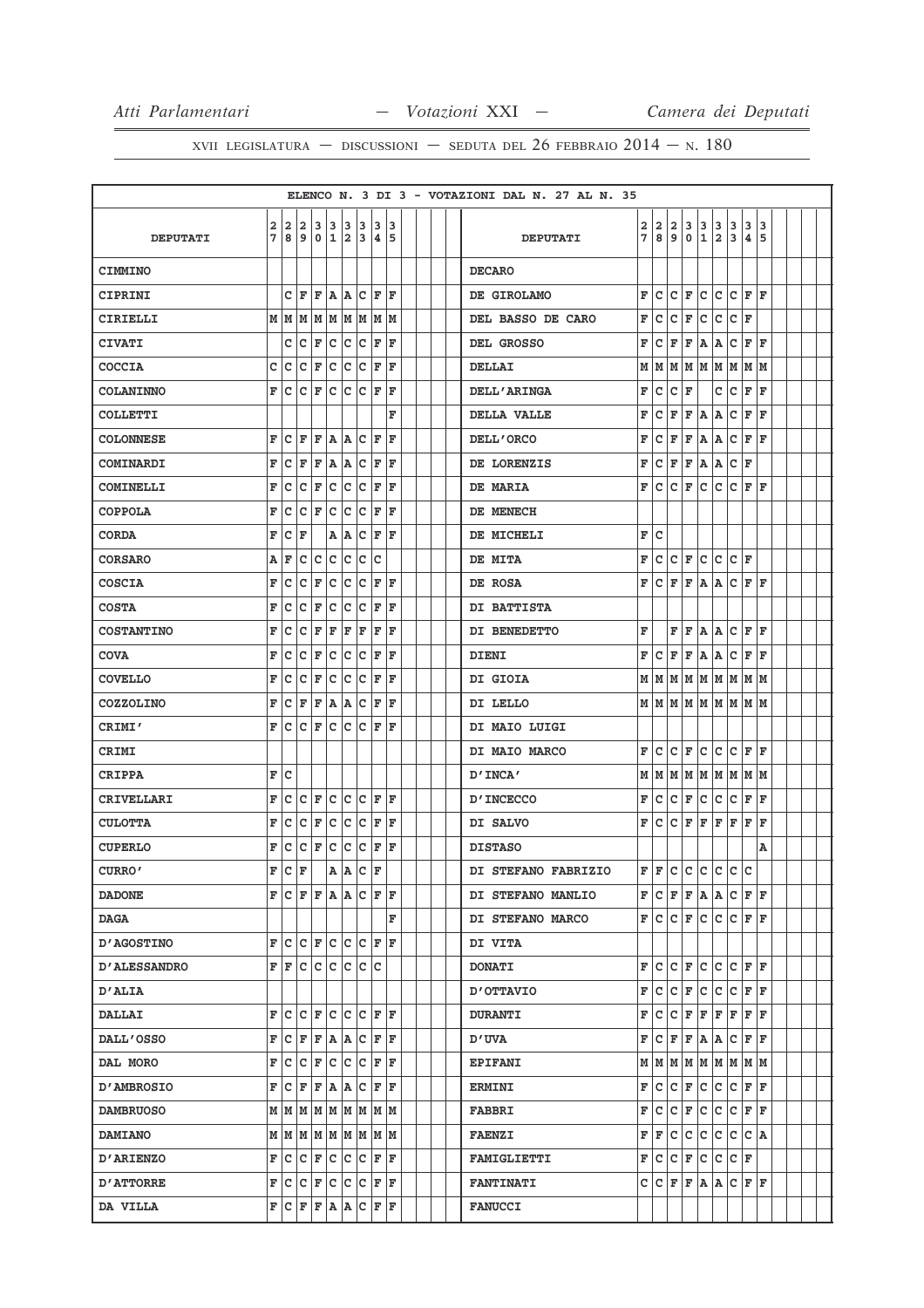|                     |        |                         |                                                                                                         |                             |                |                          |                |                    |        |  |  | ELENCO N. 3 DI 3 - VOTAZIONI DAL N. 27 AL N. 35 |        |                                             |                     |                         |           |                              |                      |         |        |  |  |
|---------------------|--------|-------------------------|---------------------------------------------------------------------------------------------------------|-----------------------------|----------------|--------------------------|----------------|--------------------|--------|--|--|-------------------------------------------------|--------|---------------------------------------------|---------------------|-------------------------|-----------|------------------------------|----------------------|---------|--------|--|--|
| <b>DEPUTATI</b>     | 2<br>7 | $\overline{a}$<br>8     | $\overline{a}$<br>9                                                                                     | 3<br>10                     | 3 <sup>1</sup> | 3<br>1 2                 | 3              | 3<br>3 4           | з<br>5 |  |  | <b>DEPUTATI</b>                                 | 2<br>7 | 2<br>8                                      | $\overline{a}$<br>9 | 3<br>$\mathbf 0$        | 3<br>1    | 3<br>$\overline{\mathbf{2}}$ | 3<br>3               | 3<br>4  | 3<br>5 |  |  |
| <b>CIMMINO</b>      |        |                         |                                                                                                         |                             |                |                          |                |                    |        |  |  | <b>DECARO</b>                                   |        |                                             |                     |                         |           |                              |                      |         |        |  |  |
| <b>CIPRINI</b>      |        |                         | C F                                                                                                     | lF.                         |                |                          | A A C          | lF.                | ΙF     |  |  | DE GIROLAMO                                     | F      | c                                           | c                   | ΙF                      | c         | c                            | c                    | ΙF      | ΙF     |  |  |
| CIRIELLI            |        |                         | M   M   M   M   M   M   M   M                                                                           |                             |                |                          |                |                    |        |  |  | DEL BASSO DE CARO                               | F      | c                                           | c                   | F                       | c         | c                            | c                    | ΙF      |        |  |  |
| <b>CIVATI</b>       |        | c                       | c                                                                                                       | F                           | $\overline{C}$ | c                        | c              | F                  | F      |  |  | DEL GROSSO                                      | F      | с                                           | F                   | F                       | A         | A                            | c                    | F       | ΙF     |  |  |
| <b>COCCIA</b>       | C I    | $\overline{\mathsf{C}}$ | c                                                                                                       | F                           | с              | IC.                      | с              | F                  | ΙF     |  |  | DELLAI                                          |        | MM                                          |                     |                         | MMMM      |                              | lм                   | M  M    |        |  |  |
| <b>COLANINNO</b>    | F      | с                       | c                                                                                                       | F                           | c              | $\vert \mathbf{C} \vert$ |                | $ C $ $\mathbf{F}$ | ΙF     |  |  | DELL'ARINGA                                     | F      | c                                           | c                   | ΙF                      |           | с                            | c                    | F       | ΙF     |  |  |
| COLLETTI            |        |                         |                                                                                                         |                             |                |                          |                |                    | F      |  |  | DELLA VALLE                                     | F      | с                                           | F                   | F                       | ΙA        | A                            | с                    | F       | ΙF     |  |  |
| <b>COLONNESE</b>    | F      |                         | $ C $ $\mathbf{F}$                                                                                      |                             | F A A C F      |                          |                |                    | ΙF     |  |  | DELL'ORCO                                       | F      | c                                           | F                   | F                       | A         | A                            | с                    | F       | ΙF     |  |  |
| <b>COMINARDI</b>    | F      | c                       | F                                                                                                       | ΙF                          | Α              | A                        | c              | F                  | F      |  |  | DE LORENZIS                                     | F      | c                                           | F                   | F                       | A         | A                            | c                    | F       |        |  |  |
| <b>COMINELLI</b>    | F      | Iс                      | c                                                                                                       | F                           | с              | $\overline{c}$           | $\overline{c}$ | F                  | F      |  |  | DE MARIA                                        | F      | lc.                                         | lc.                 | l F                     | lc.       | lc.                          | c                    | l F     | ١F     |  |  |
| <b>COPPOLA</b>      | F      | c                       | с                                                                                                       | F                           | c              | c                        | с              | F                  | F      |  |  | DE MENECH                                       |        |                                             |                     |                         |           |                              |                      |         |        |  |  |
| <b>CORDA</b>        | F      | c                       | F                                                                                                       |                             |                | A   A                    | с              | F                  | ΙF     |  |  | DE MICHELI                                      | F      | ١c                                          |                     |                         |           |                              |                      |         |        |  |  |
| <b>CORSARO</b>      | Α      | F                       | с                                                                                                       | с                           | lc.            | Iс                       | с              | Ιc                 |        |  |  | DE MITA                                         | F      | c                                           |                     | $ {\bf C}  {\bf F} $    | c c       |                              | $ c _F$              |         |        |  |  |
| <b>COSCIA</b>       | F      | c                       | с                                                                                                       | F                           | с              | с                        | с              | F                  | ΙF     |  |  | DE ROSA                                         | F      | c                                           | F                   | F                       | A         | Α                            | с                    | F       | ΙF     |  |  |
| <b>COSTA</b>        | F      | с                       | c                                                                                                       | F                           | с              | c                        | с              | F                  | ΙF     |  |  | DI BATTISTA                                     |        |                                             |                     |                         |           |                              |                      |         |        |  |  |
| <b>COSTANTINO</b>   | F      | c                       | с                                                                                                       | F                           | F              | F                        | F              | F                  | F      |  |  | DI BENEDETTO                                    | F      |                                             | F                   | F                       | lA.       | ١A                           | c                    | ΙF      | ΙF     |  |  |
| <b>COVA</b>         | F      | c                       | c                                                                                                       | F                           | c              | c                        | с              | F                  | F      |  |  | DIENI                                           | F      | lc.                                         | F                   | ΙF                      | A         | ۱A                           | c                    | l F     | ΙF     |  |  |
| <b>COVELLO</b>      | F      | c                       | с                                                                                                       | F                           | с              | c                        | с              | F                  | F      |  |  | DI GIOIA                                        |        | $M$ $ M$ $ M$ $ M$ $ M$ $ M$ $ M$ $ M$ $ M$ |                     |                         |           |                              |                      |         |        |  |  |
| <b>COZZOLINO</b>    | F      | c                       | F                                                                                                       | F                           | Α              | A                        | с              | F                  | F      |  |  | DI LELLO                                        |        | MM                                          |                     |                         | M   M   M |                              | M  M                 | M  M    |        |  |  |
| CRIMI'              | F      |                         | C C F C C C F F                                                                                         |                             |                |                          |                |                    |        |  |  | DI MAIO LUIGI                                   |        |                                             |                     |                         |           |                              |                      |         |        |  |  |
| <b>CRIMI</b>        |        |                         |                                                                                                         |                             |                |                          |                |                    |        |  |  | DI MAIO MARCO                                   | F      | c                                           | с                   | F                       | c         | c                            | с                    | F       | ΙF     |  |  |
| <b>CRIPPA</b>       |        | F C                     |                                                                                                         |                             |                |                          |                |                    |        |  |  | D'INCA'                                         | M      | M                                           |                     | M M                     | M M       |                              | M                    | M       | lМ     |  |  |
| <b>CRIVELLARI</b>   | F      | c                       | с                                                                                                       | F                           | lc.            | c.                       | c              | F                  | ΙF     |  |  | <b>D'INCECCO</b>                                | F      | c                                           | c                   | F                       | c         | c                            | C                    | F       | F      |  |  |
| <b>CULOTTA</b>      | F      | c                       | c                                                                                                       | F                           | c              | c.                       | $\overline{c}$ | $\mathbf{F}$       | F      |  |  | DI SALVO                                        | F      | c                                           | c                   | F                       | F         | F                            | F                    | l F     | l F    |  |  |
| <b>CUPERLO</b>      | F      | c                       | c                                                                                                       | F                           | $\mathbf C$    | $\bar{\mathbf{C}}$       | c              | F                  | ΙF     |  |  | <b>DISTASO</b>                                  |        |                                             |                     |                         |           |                              |                      |         | А      |  |  |
| CURRO'              | F      | lc.                     | ΙF                                                                                                      |                             |                | A   A                    | c              | l F                |        |  |  | DI STEFANO FABRIZIO                             | F F    |                                             |                     | c c c                   |           | lc.                          | lc.                  | ١c      |        |  |  |
| <b>DADONE</b>       |        |                         | F C F F A A C F F                                                                                       |                             |                |                          |                |                    |        |  |  | DI STEFANO MANLIO                               | F      | C F F A A C F F                             |                     |                         |           |                              |                      |         |        |  |  |
| <b>DAGA</b>         |        |                         |                                                                                                         |                             |                |                          |                |                    | F      |  |  | DI STEFANO MARCO                                | F      | Iс                                          | с                   | F                       | c         | c                            | c                    | F F     |        |  |  |
| <b>D'AGOSTINO</b>   |        |                         | $\mathbf{F}   \mathbf{C}   \mathbf{C}   \mathbf{F}   \mathbf{C}   \mathbf{C}   \mathbf{F}   \mathbf{F}$ |                             |                |                          |                |                    |        |  |  | DI VITA                                         |        |                                             |                     |                         |           |                              |                      |         |        |  |  |
| <b>D'ALESSANDRO</b> |        |                         | F F C C C C C C                                                                                         |                             |                |                          |                |                    |        |  |  | <b>DONATI</b>                                   | F      | lc.                                         |                     | $ {\bf C}\>  {\bf F} $  | c c       |                              | C F F                |         |        |  |  |
| <b>D'ALIA</b>       |        |                         |                                                                                                         |                             |                |                          |                |                    |        |  |  | OTTAVIO                                         | F      | lc.                                         | lc.                 | F                       | lc.       | lc                           | lc.                  | F F     |        |  |  |
| <b>DALLAI</b>       | F      |                         |                                                                                                         |                             |                |                          |                |                    |        |  |  | <b>DURANTI</b>                                  | F      | lc.                                         | Iс                  | F                       | F         | F                            | F                    | $F$ $F$ |        |  |  |
| <b>DALL'OSSO</b>    | F      |                         | $ {\bf C}  {\bf F} $                                                                                    | F                           |                |                          | A A C F F      |                    |        |  |  | D'UVA                                           | F      | Iс                                          | F                   | F                       | A         | A                            | c                    | F       | ١F     |  |  |
| DAL MORO            |        |                         | F C C F C C C F F                                                                                       |                             |                |                          |                |                    |        |  |  | <b>EPIFANI</b>                                  |        | мімімім                                     |                     |                         |           |                              | M  M  M  M  M        |         |        |  |  |
| <b>D'AMBROSIO</b>   | F      | c                       | F                                                                                                       | F                           |                |                          | A A C          | F                  | lF.    |  |  | <b>ERMINI</b>                                   | F      | c                                           | Iс                  | F                       | lc.       | c                            | c                    | F F     |        |  |  |
| <b>DAMBRUOSO</b>    |        |                         | M   M   M   M   M   M   M   M                                                                           |                             |                |                          |                |                    |        |  |  | <b>FABBRI</b>                                   | F      | c                                           | c                   | F                       | c         | c                            | c                    | F F     |        |  |  |
| <b>DAMIANO</b>      |        |                         | $M$   $M$   $M$   $M$   $M$   $M$   $M$   $M$                                                           |                             |                |                          |                |                    |        |  |  | <b>FAENZI</b>                                   | F      | F                                           | c                   | lc.                     | c         | lc.                          | lc.                  | $ c $ A |        |  |  |
| <b>D'ARIENZO</b>    |        | F C                     |                                                                                                         | $C$ $F$ $C$ $C$ $C$ $F$ $F$ |                |                          |                |                    |        |  |  | <b>FAMIGLIETTI</b>                              | F      | Ιc                                          |                     | $ {\tt C} \,  $ $\tt F$ | lc.       | lc.                          | $ {\bf C}  {\bf F} $ |         |        |  |  |
| <b>D'ATTORRE</b>    |        |                         | F C C F C C C F F                                                                                       |                             |                |                          |                |                    |        |  |  | <b>FANTINATI</b>                                |        | c  c                                        |                     | F F                     | A A       |                              | c                    | F F     |        |  |  |
| DA VILLA            |        |                         | F C F F A A C F F                                                                                       |                             |                |                          |                |                    |        |  |  | <b>FANUCCI</b>                                  |        |                                             |                     |                         |           |                              |                      |         |        |  |  |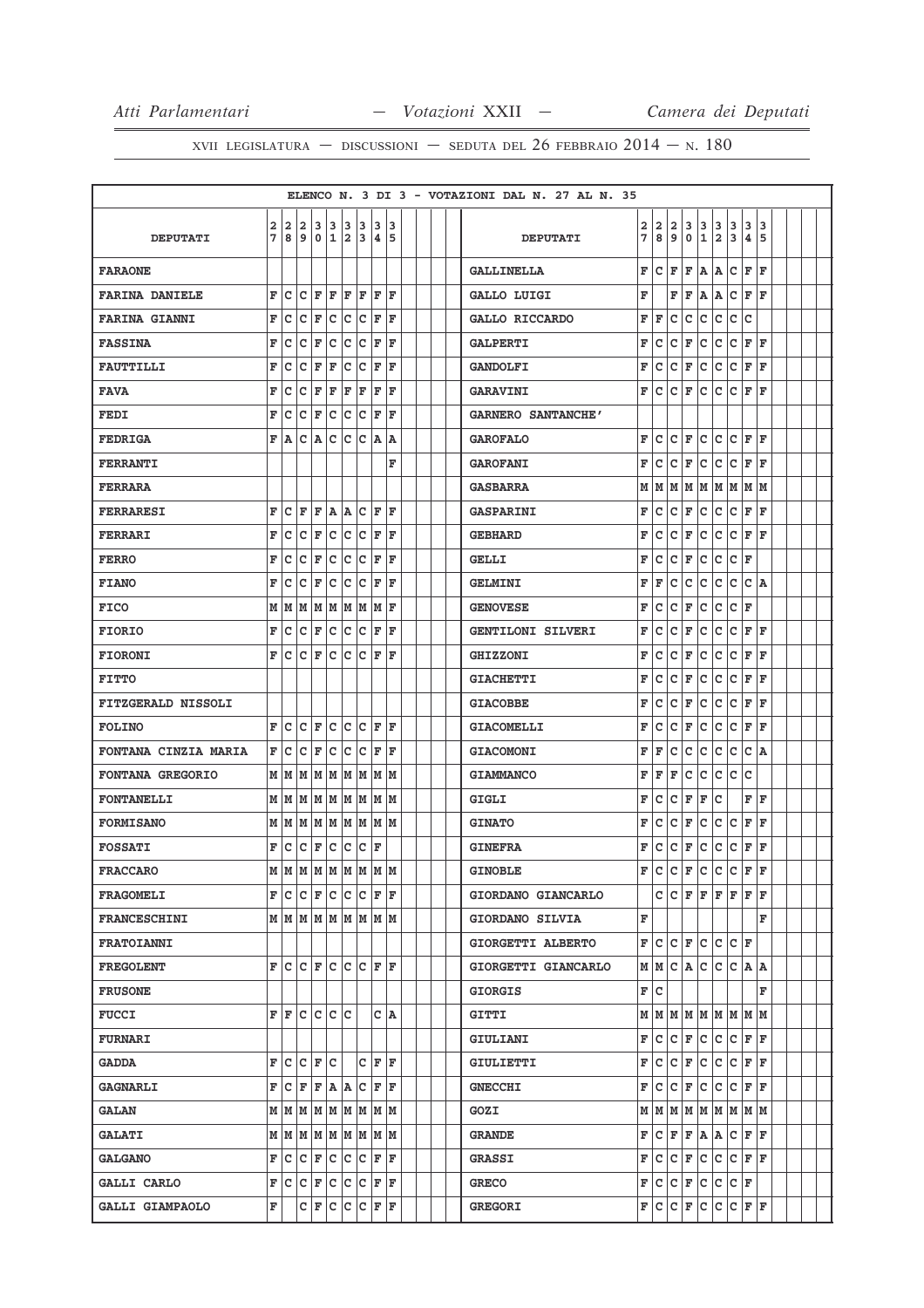|  |  |  | XVII LEGISLATURA – DISCUSSIONI – SEDUTA DEL 26 FEBBRAIO $2014 - N$ . 180 |  |
|--|--|--|--------------------------------------------------------------------------|--|
|--|--|--|--------------------------------------------------------------------------|--|

|                             |        |        |                                                     |                  |              |                     |           |             |        |  |  | ELENCO N. 3 DI 3 - VOTAZIONI DAL N. 27 AL N. 35 |        |                                                     |        |                    |             |                              |        |                      |        |  |
|-----------------------------|--------|--------|-----------------------------------------------------|------------------|--------------|---------------------|-----------|-------------|--------|--|--|-------------------------------------------------|--------|-----------------------------------------------------|--------|--------------------|-------------|------------------------------|--------|----------------------|--------|--|
| <b>DEPUTATI</b>             | 2<br>7 | 2<br>8 | 2<br>9                                              | 3<br>0           | 3<br>1       | 3<br>$\overline{a}$ | 3<br>3    | 3<br>4      | 3<br>5 |  |  | <b>DEPUTATI</b>                                 | 2<br>7 | 2<br>8                                              | 2<br>9 | 3<br>0             | 3<br>1      | 3<br>$\overline{\mathbf{2}}$ | 3<br>3 | 3<br>4               | 3<br>5 |  |
| <b>FARAONE</b>              |        |        |                                                     |                  |              |                     |           |             |        |  |  | <b>GALLINELLA</b>                               | F      | c                                                   | F      | F                  | A           | Α                            | c      | F                    | F      |  |
| <b>FARINA DANIELE</b>       | F      | c      | c                                                   | F                | F            | F                   | F         | F           | F      |  |  | GALLO LUIGI                                     | F      |                                                     | F      | F                  | lA.         | Α                            | c      | F                    | l F    |  |
| <b>FARINA GIANNI</b>        | F      | c      | C                                                   | F                | $\mathsf{C}$ | c                   | c         | F           | F      |  |  | GALLO RICCARDO                                  | F      | F                                                   | c      | c                  | c           | $\mathsf{C}$                 | c      | c                    |        |  |
| <b>FASSINA</b>              | F      | с      | с                                                   | F                | с            | с                   | c         | F           | F      |  |  | <b>GALPERTI</b>                                 | F      | c                                                   | c      | F                  | Iс          | с                            | lc.    | F                    | l F    |  |
| <b>FAUTTILLI</b>            | F      | с      | с                                                   | F                | F            | с                   | c         | F           | F      |  |  | <b>GANDOLFI</b>                                 | F      | c                                                   | c      | F                  | Iс          | с                            | lc.    | F                    | F      |  |
| <b>FAVA</b>                 | F      | с      | с                                                   | F                | F            | F                   | F         | F           | F      |  |  | <b>GARAVINI</b>                                 | F      | c                                                   | c      | F                  | lc.         | c                            | lc.    | F                    | l F    |  |
| FEDI                        | F      | c      | с                                                   | F                | с            | с                   | с         | F           | F      |  |  | <b>GARNERO SANTANCHE'</b>                       |        |                                                     |        |                    |             |                              |        |                      |        |  |
| <b>FEDRIGA</b>              | F      | A      | с                                                   | Α                | с            | с                   | с         | A A         |        |  |  | <b>GAROFALO</b>                                 | F      | c                                                   | c      | F                  | Iс          | c                            | lc.    | F                    | lF.    |  |
| <b>FERRANTI</b>             |        |        |                                                     |                  |              |                     |           |             | F      |  |  | <b>GAROFANI</b>                                 | F      | c                                                   | c      | F                  | c           | c                            | lc.    | F                    | ΙF     |  |
| <b>FERRARA</b>              |        |        |                                                     |                  |              |                     |           |             |        |  |  | <b>GASBARRA</b>                                 | М      | M                                                   |        |                    |             |                              |        | M  M  M  M  M  M  M  |        |  |
| <b>FERRARESI</b>            | F      | с      | F                                                   | F                | A A          |                     | c         | F           | ΙF     |  |  | <b>GASPARINI</b>                                | F      | c                                                   | c      | F                  | Iс          | c                            | lc.    | F                    | l F    |  |
| <b>FERRARI</b>              | F      | c      | c                                                   | F                | с            | с                   | с         | F           | F      |  |  | <b>GEBHARD</b>                                  | F      | c                                                   | c      | F                  | c           | c                            | c      | F                    | F      |  |
| <b>FERRO</b>                | F      | с      | с                                                   | F                | с            | с                   | c         | F           | F      |  |  | <b>GELLI</b>                                    | F      | c                                                   | с      | F                  | c           | c                            | lc.    | F                    |        |  |
| <b>FIANO</b>                | F      | с      | с                                                   | F                | с            | с                   | с         | F           | F      |  |  | <b>GELMINI</b>                                  | F      | F                                                   | с      | с                  | c           | с                            | c      | c                    | lA.    |  |
| <b>FICO</b>                 |        |        | $M$   $M$   $M$   $M$   $M$   $M$   $M$   $F$       |                  |              |                     |           |             |        |  |  | <b>GENOVESE</b>                                 | F      | c                                                   | c      | F                  | c           | $\mathtt{C}$                 | lc.    | F                    |        |  |
| <b>FIORIO</b>               | F      | c      | с                                                   | F                | c            | c                   | c         | F           | F      |  |  | <b>GENTILONI SILVERI</b>                        | F      | c                                                   | c      | F                  | c           | c                            | c      | F                    | ΙF     |  |
| <b>FIORONI</b>              | F      | Iс     | c                                                   | F                | c            | с                   | c         | F           | F      |  |  | <b>GHIZZONI</b>                                 | F      | c                                                   | c      | F                  | c           | c                            | lc.    | F                    | ΙF     |  |
| <b>FITTO</b>                |        |        |                                                     |                  |              |                     |           |             |        |  |  | <b>GIACHETTI</b>                                | F      | c                                                   | c      | F                  | c           | с                            | Iс     | F                    | l F    |  |
| <b>FITZGERALD NISSOLI</b>   |        |        |                                                     |                  |              |                     |           |             |        |  |  | <b>GIACOBBE</b>                                 | F      | c                                                   | c      | F                  | c           | c                            | c      | F                    | l F    |  |
| <b>FOLINO</b>               | F      | с      | c                                                   | F                | c            | c                   | c         | lF.         | ΙF     |  |  | GIACOMELLI                                      | F      | c                                                   | c      | F                  | c           | с                            | lc.    | F                    | ΙF     |  |
| <b>FONTANA CINZIA MARIA</b> | F      | с      | с                                                   | F                | с            | c                   | с         | F           | F      |  |  | <b>GIACOMONI</b>                                | F      | F                                                   | с      | с                  | c           | с                            | c      | c                    | ١A     |  |
| <b>FONTANA GREGORIO</b>     |        |        | $M$   $M$   $M$   $M$   $M$   $M$   $M$   $M$   $M$ |                  |              |                     |           |             |        |  |  | <b>GIAMMANCO</b>                                | F      | F                                                   | F      | c                  | c           | c                            | lc.    | c                    |        |  |
| <b>FONTANELLI</b>           |        | мIм    |                                                     | M  M  M  M  M  M |              |                     |           |             |        |  |  | GIGLI                                           | F      | c                                                   | C      | F                  | F           | c                            |        | F                    | l F    |  |
| <b>FORMISANO</b>            |        |        | $M$   $M$   $M$   $M$   $M$   $M$   $M$   $M$   $M$ |                  |              |                     |           |             |        |  |  | <b>GINATO</b>                                   | F      | c                                                   | c      | F                  | c           | c                            | lc     | F                    | l F    |  |
| <b>FOSSATI</b>              | F      | с      | с                                                   | F                | с            | с                   |           | C F         |        |  |  | <b>GINEFRA</b>                                  | F      | c                                                   | c      | F                  | c           | с                            | c      | F                    | F      |  |
| <b>FRACCARO</b>             |        |        | M   M   M   M   M   M   M   M                       |                  |              |                     |           |             |        |  |  | <b>GINOBLE</b>                                  | F      | c                                                   | c      | F                  | c           | c                            | lc.    | F                    | l F    |  |
| <b>FRAGOMELI</b>            |        |        | F C C F C C C F F                                   |                  |              |                     |           |             |        |  |  | GIORDANO GIANCARLO                              |        |                                                     |        |                    |             |                              |        | $C  C F F F F F F F$ |        |  |
| <b>FRANCESCHINI</b>         |        |        | $M$   $M$   $M$   $M$   $M$   $M$   $M$   $M$       |                  |              |                     |           |             |        |  |  | GIORDANO SILVIA                                 | F      |                                                     |        |                    |             |                              |        |                      | F      |  |
| FRATOIANNI                  |        |        |                                                     |                  |              |                     |           |             |        |  |  | GIORGETTI ALBERTO                               |        | F∣C                                                 |        |                    | $ c _F c c$ |                              | C F    |                      |        |  |
| <b>FREGOLENT</b>            |        |        | F C C F C C C F F                                   |                  |              |                     |           |             |        |  |  | GIORGETTI GIANCARLO                             |        | $M$   $M$   $C$   $A$   $C$   $C$   $C$   $A$   $A$ |        |                    |             |                              |        |                      |        |  |
| <b>FRUSONE</b>              |        |        |                                                     |                  |              |                     |           |             |        |  |  | <b>GIORGIS</b>                                  |        | F∣C                                                 |        |                    |             |                              |        |                      | F      |  |
| <b>FUCCI</b>                |        |        | F F C C C C                                         |                  |              |                     |           |             | C A    |  |  | GITTI                                           |        | M   M   M   M   M   M   M   M   M                   |        |                    |             |                              |        |                      |        |  |
| <b>FURNARI</b>              |        |        |                                                     |                  |              |                     |           |             |        |  |  | GIULIANI                                        |        | F∣C                                                 | с      | F C                |             | c                            |        | $C$ $F$ $F$          |        |  |
| <b>GADDA</b>                |        |        | F C C F C                                           |                  |              |                     |           | $C$ $F$ $F$ |        |  |  | GIULIETTI                                       | F      | lc.                                                 |        | $ C $ F            |             |                              |        | C C C F F            |        |  |
| <b>GAGNARLI</b>             | F      | Iс     | F                                                   | F                | A A C        |                     |           |             | F F    |  |  | <b>GNECCHI</b>                                  | F      | Iс                                                  | Iс     | F                  | lc.         | c                            | lc.    | F F                  |        |  |
| <b>GALAN</b>                |        |        | $M$   $M$   $M$   $M$   $M$   $M$   $M$   $M$       |                  |              |                     |           |             |        |  |  | GOZI                                            |        | $M$ $M$ $M$ $M$ $M$ $M$ $M$ $M$ $M$                 |        |                    |             |                              |        |                      |        |  |
| <b>GALATI</b>               |        |        | $M$   $M$   $M$   $M$   $M$   $M$   $M$   $M$       |                  |              |                     |           |             |        |  |  | <b>GRANDE</b>                                   | F      | C F F A A C F F                                     |        |                    |             |                              |        |                      |        |  |
| <b>GALGANO</b>              | F      |        |                                                     |                  |              |                     |           |             |        |  |  | <b>GRASSI</b>                                   |        | F∣C                                                 |        | $ C $ $\mathbf{F}$ |             |                              |        | C C C F F            |        |  |
| <b>GALLI CARLO</b>          | F      |        | $ C C $ $\mathbf{F}$                                |                  |              |                     | C C C F F |             |        |  |  | <b>GRECO</b>                                    |        | F C C F C C C F                                     |        |                    |             |                              |        |                      |        |  |
| GALLI GIAMPAOLO             | F      |        |                                                     | CF               | c            |                     | C C F F   |             |        |  |  | <b>GREGORI</b>                                  |        | F C C F                                             |        |                    | IС          |                              |        | C C F F              |        |  |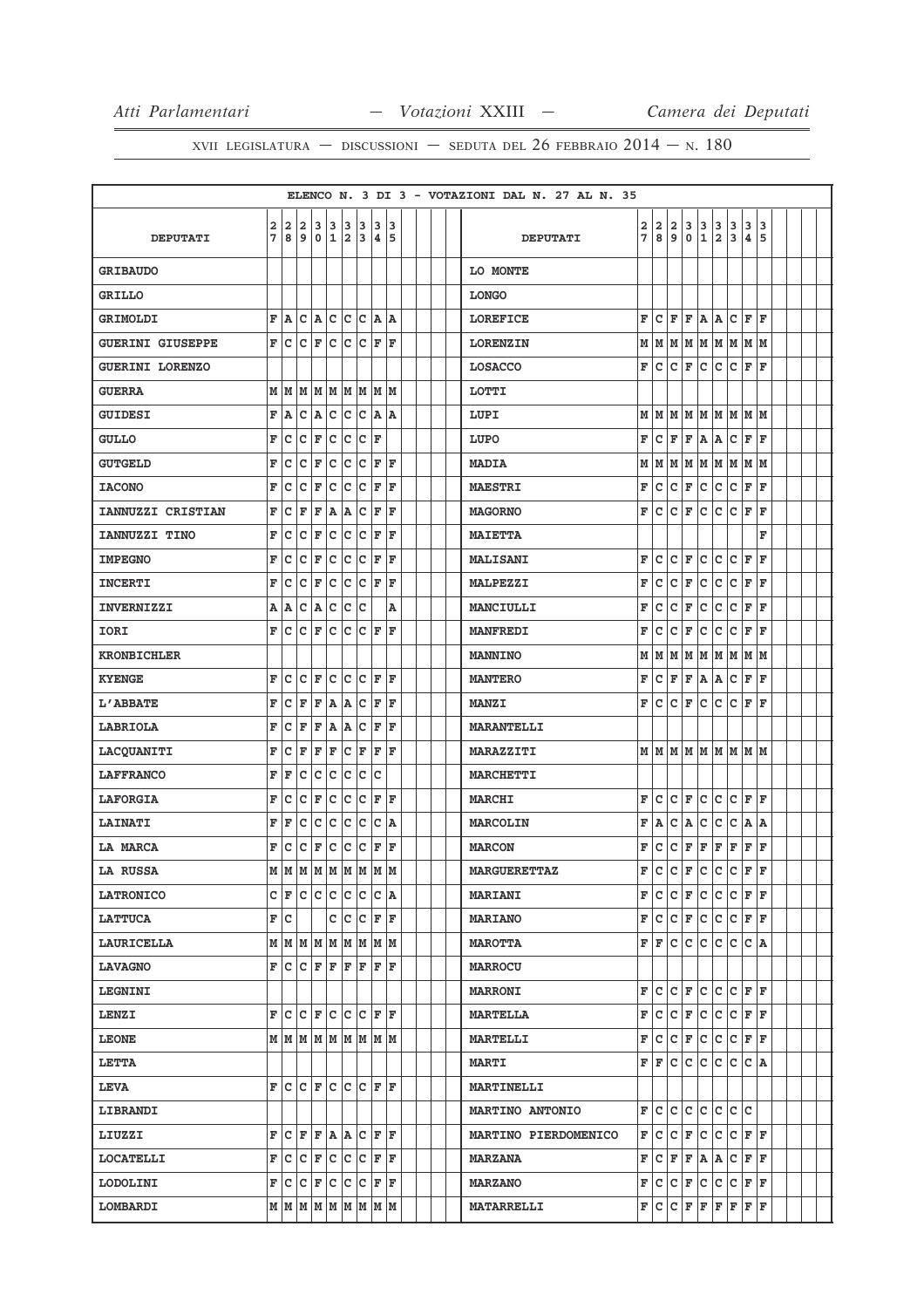|                         |             |     |                                               |     |              |             |   |              |      |  |  | ELENCO N. 3 DI 3 - VOTAZIONI DAL N. 27 AL N. 35 |   |     |                         |         |                                                       |              |                                     |         |      |  |  |
|-------------------------|-------------|-----|-----------------------------------------------|-----|--------------|-------------|---|--------------|------|--|--|-------------------------------------------------|---|-----|-------------------------|---------|-------------------------------------------------------|--------------|-------------------------------------|---------|------|--|--|
|                         | $\mathbf 2$ |     | 2 2                                           |     | 3 3 3 3      |             |   | <sub>3</sub> | 3    |  |  |                                                 | 2 | 2   | $\overline{\mathbf{2}}$ | 3       |                                                       |              | 3                                   | 3       | 3    |  |  |
| <b>DEPUTATI</b>         | 7           | 8   | و                                             | ۱o  | 1            | 2           | 3 | 4 5          |      |  |  | <b>DEPUTATI</b>                                 | 7 | 8l  | و ا                     | ۱o      | $\begin{array}{ c c }\n 3 & 3 \\ 1 & 2\n \end{array}$ |              | 3                                   | 4       | 5    |  |  |
| <b>GRIBAUDO</b>         |             |     |                                               |     |              |             |   |              |      |  |  | LO MONTE                                        |   |     |                         |         |                                                       |              |                                     |         |      |  |  |
| <b>GRILLO</b>           |             |     |                                               |     |              |             |   |              |      |  |  | <b>LONGO</b>                                    |   |     |                         |         |                                                       |              |                                     |         |      |  |  |
| GRIMOLDI                | F           | A   | c                                             | A   | c            | c c         |   | A            | A    |  |  | <b>LOREFICE</b>                                 | F | c   | F                       | F       | A                                                     | Α            | c                                   | F       | l F  |  |  |
| <b>GUERINI GIUSEPPE</b> | F           | c   | lc.                                           | F   | c            | c           | c | F            | ١F   |  |  | <b>LORENZIN</b>                                 | M |     |                         |         |                                                       |              | M   M   M   M   M   M   M           |         |      |  |  |
| <b>GUERINI LORENZO</b>  |             |     |                                               |     |              |             |   |              |      |  |  | <b>LOSACCO</b>                                  | F | c   | c                       | F       | c                                                     | c            | c                                   | F       | ΙF   |  |  |
| <b>GUERRA</b>           | М           | lм  | lм                                            | MM  |              | M M         |   | MM           |      |  |  | <b>LOTTI</b>                                    |   |     |                         |         |                                                       |              |                                     |         |      |  |  |
| <b>GUIDESI</b>          | F           | A   | C                                             | A   | c            | c           | c | A A          |      |  |  | LUPI                                            | М |     |                         |         |                                                       |              | м м м м м м м м                     |         |      |  |  |
| <b>GULLO</b>            | F           | C   | C                                             | F   | C            | c           | c | F            |      |  |  | LUPO                                            | F | lc. | F                       | F       | $ {\bf A} $ ${\bf A}$                                 |              | lc.                                 | F       | ١F   |  |  |
| <b>GUTGELD</b>          | F           | c   | C                                             | F   | $\mathtt{C}$ | c           | c | F            | l F  |  |  | <b>MADIA</b>                                    | М | M   |                         |         |                                                       |              | M  M  M  M  M  M  M                 |         |      |  |  |
| <b>IACONO</b>           | F           | c   | C                                             | F   | C            | c           | C | F            | F    |  |  | <b>MAESTRI</b>                                  | F | c   | lc.                     | F       | lc.                                                   | c            | lc.                                 | F       | l F  |  |  |
| IANNUZZI CRISTIAN       | F           | C   | F                                             | F   | A            | A           | c | F            | F    |  |  | <b>MAGORNO</b>                                  | F | c   | Iс                      | F       | lc.                                                   | lc.          | lc.                                 | F       | ΙF   |  |  |
| IANNUZZI TINO           | F           | c   | c                                             | F   | c            | c           | C | F            | F    |  |  | <b>MAIETTA</b>                                  |   |     |                         |         |                                                       |              |                                     |         | F    |  |  |
| <b>IMPEGNO</b>          | F           | C   | C                                             | F   | c            | c           | c | F            | F    |  |  | <b>MALISANI</b>                                 | F | c   | c                       | F       | c                                                     | c            | c                                   | F       | l F  |  |  |
| <b>INCERTI</b>          | F           | c   | C                                             | F   | C            | c           | C | F            | F    |  |  | <b>MALPEZZI</b>                                 | F | c   | c                       | F       | c                                                     | $\mathtt{C}$ | c                                   | F       | l F  |  |  |
| <b>INVERNIZZI</b>       | A           | ١A  | c                                             | A   | c            | lc.         | C |              | A    |  |  | MANCIULLI                                       | F | c   | c                       | F       | lc.                                                   | c            | lc.                                 | F       | lF.  |  |  |
| IORI                    | F           | c   | c                                             | F   | c            | c           | c | F            | ΙF   |  |  | <b>MANFREDI</b>                                 | F | c   | c                       | F       | c                                                     | c            | c                                   | F       | l F  |  |  |
| <b>KRONBICHLER</b>      |             |     |                                               |     |              |             |   |              |      |  |  | <b>MANNINO</b>                                  | М | M   | M                       |         |                                                       |              | MMMMMMM                             |         |      |  |  |
| <b>KYENGE</b>           | F           | c   | ∣c                                            | F   | c            | c c         |   | F            | F    |  |  | <b>MANTERO</b>                                  | F | c   | F                       | F       | A A                                                   |              | lc.                                 | F       | F    |  |  |
| L'ABBATE                | F           | C   | F                                             | F   | A            | A           | c | F            | F    |  |  | <b>MANZI</b>                                    | F | c   | c                       | F       | c                                                     | lc.          | lc.                                 | F       | l F  |  |  |
| LABRIOLA                | F           | c   | F                                             | F   | A            | A           | c | F            | F    |  |  | <b>MARANTELLI</b>                               |   |     |                         |         |                                                       |              |                                     |         |      |  |  |
| <b>LACQUANITI</b>       | F           | c   | F                                             | F   | F            | c           | F | F            | F    |  |  | <b>MARAZZITI</b>                                |   |     |                         |         |                                                       |              | $M$ $M$ $M$ $M$ $M$ $M$ $M$ $M$ $M$ |         |      |  |  |
| <b>LAFFRANCO</b>        | F           | F   | c                                             | lc. | c            | c           | c | c            |      |  |  | <b>MARCHETTI</b>                                |   |     |                         |         |                                                       |              |                                     |         |      |  |  |
| <b>LAFORGIA</b>         | F           | c   | c                                             | F   | c            | c           | c | F            | l F  |  |  | <b>MARCHI</b>                                   | F | lc. | c                       | F       | lc.                                                   | c            | lc.                                 | F       | lF.  |  |  |
| <b>LAINATI</b>          | F           | F   | c                                             | c   | c            | c           | c | C            | ۱A.  |  |  | <b>MARCOLIN</b>                                 | F | A   | c                       | A       | c                                                     | lc.          | lc.                                 | A A     |      |  |  |
| LA MARCA                | F           | c   | C                                             | F   | c            | c           | c | F            | F    |  |  | <b>MARCON</b>                                   | F | lc. | c                       | F       | F                                                     | F            | F                                   | F       | F    |  |  |
| LA RUSSA                | M           | İм  | M                                             | M   | MM           |             | M | M            | lм   |  |  | <b>MARGUERETTAZ</b>                             | F | c   | c                       | F       | c                                                     | c            | c                                   | F       | l F  |  |  |
| <b>LATRONICO</b>        |             | C F | c c c                                         |     |              | $ c c c $ a |   |              |      |  |  | <b>MARIANI</b>                                  | F | lc. |                         | $ C $ F | lc.                                                   | lc.          | $ C $ F                             |         | ١F   |  |  |
| <b>LATTUCA</b>          |             | F C |                                               |     | c            | c           | c | F F          |      |  |  | <b>MARIANO</b>                                  | F | c   | $ C $ F                 |         |                                                       |              | C C C F F                           |         |      |  |  |
| <b>LAURICELLA</b>       |             |     | MMMMM                                         |     |              | lм          | M |              | M  M |  |  | <b>MAROTTA</b>                                  | F | lF. | lc.                     | lc.     | Iс                                                    | c            | lc.                                 |         | C  A |  |  |
| <b>LAVAGNO</b>          | F           |     | $C$ $F$ $F$                                   |     |              | F F         |   | F F          |      |  |  | <b>MARROCU</b>                                  |   |     |                         |         |                                                       |              |                                     |         |      |  |  |
| <b>LEGNINI</b>          |             |     |                                               |     |              |             |   |              |      |  |  | <b>MARRONI</b>                                  | F | Iс  | lc.                     | F       | lc.                                                   | c            | C F                                 |         | lF.  |  |  |
| LENZI                   | F           |     | C C F C C C F F                               |     |              |             |   |              |      |  |  | <b>MARTELLA</b>                                 | F | lc. | c                       | F       | c c                                                   |              | c                                   | F F     |      |  |  |
| <b>LEONE</b>            |             |     | MMMMMMM                                       |     |              |             |   | M M          |      |  |  | <b>MARTELLI</b>                                 | F | c   | c                       | F       | c                                                     | c            | c                                   | F       | lF.  |  |  |
| <b>LETTA</b>            |             |     |                                               |     |              |             |   |              |      |  |  | <b>MARTI</b>                                    | F | ١F  | lc.                     | lc.     | lc.                                                   | lc.          | lc.                                 | $ c $ A |      |  |  |
| <b>LEVA</b>             | F           |     |                                               |     |              |             |   |              |      |  |  | <b>MARTINELLI</b>                               |   |     |                         |         |                                                       |              |                                     |         |      |  |  |
| LIBRANDI                |             |     |                                               |     |              |             |   |              |      |  |  | <b>MARTINO ANTONIO</b>                          | F | c   | c                       | c       | lc.                                                   | lc.          | lc lc                               |         |      |  |  |
| LIUZZI                  | F           |     | C F F A A C F F                               |     |              |             |   |              |      |  |  | MARTINO PIERDOMENICO                            | F | lc. | $ {\bf C} $ F           |         |                                                       |              | $ c c c _F _F$                      |         |      |  |  |
| <b>LOCATELLI</b>        | F           | c   | c                                             | F   | c            | c           | c | F            | F    |  |  | <b>MARZANA</b>                                  | F | Iс  | F                       | F       | A                                                     | Α            | с                                   | F       | F    |  |  |
| LODOLINI                | F           |     | C C F C                                       |     |              | c c         |   | F            | F    |  |  | <b>MARZANO</b>                                  | F | lc. | ∣c                      | F       | c                                                     | c            | c                                   | F       | lF.  |  |  |
| <b>LOMBARDI</b>         |             |     | $M$   $M$   $M$   $M$   $M$   $M$   $M$   $M$ |     |              |             |   |              |      |  |  | <b>MATARRELLI</b>                               | F | c   | c                       | F F     |                                                       | F            | F                                   | F       | F    |  |  |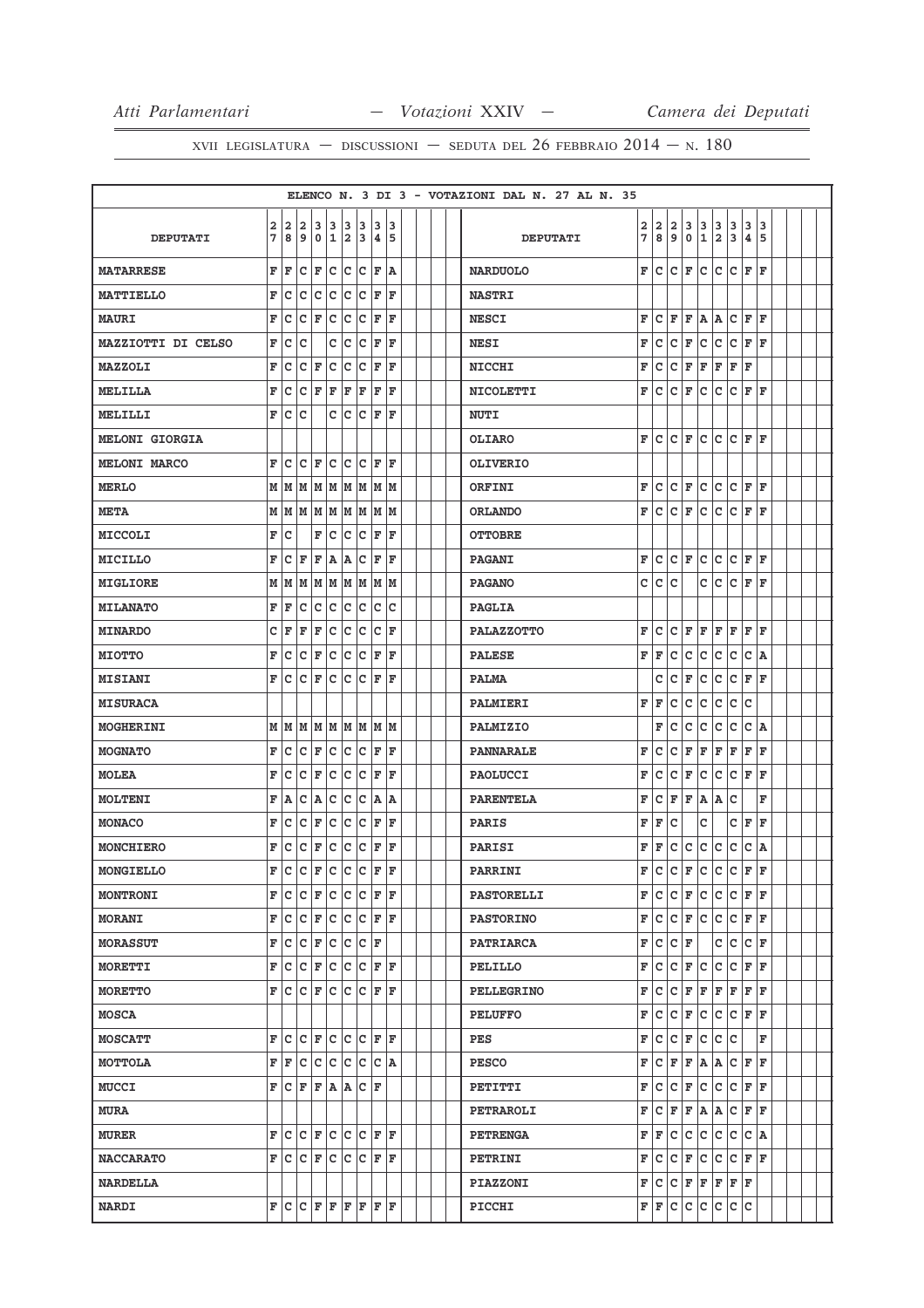|                       |        |                                   |             |                             |             |                              |           |              |        |  |  | ELENCO N. 3 DI 3 - VOTAZIONI DAL N. 27 AL N. 35 |        |        |        |         |                  |                              |        |                |                    |  |  |
|-----------------------|--------|-----------------------------------|-------------|-----------------------------|-------------|------------------------------|-----------|--------------|--------|--|--|-------------------------------------------------|--------|--------|--------|---------|------------------|------------------------------|--------|----------------|--------------------|--|--|
| <b>DEPUTATI</b>       | 2<br>7 | $\mathbf{2}$<br>8                 | 2<br>9      | з<br>0                      | 3<br>1      | 3<br>$\overline{\mathbf{2}}$ | 3<br>3    | 3<br>4       | 3<br>5 |  |  | <b>DEPUTATI</b>                                 | 2<br>7 | 2<br>8 | 2<br>9 | 3<br>0  | з<br>$\mathbf 1$ | 3<br>$\overline{\mathbf{2}}$ | 3<br>3 | 3<br>$\pmb{4}$ | 3<br>5             |  |  |
| <b>MATARRESE</b>      | F      | F                                 | с           | F                           | $\mathbf C$ | с                            | c         | F            | ١A     |  |  | <b>NARDUOLO</b>                                 | F      | lc.    | c      | F       | c                | c                            | c      | ΙF             | ΙF                 |  |  |
| MATTIELLO             | F      | c                                 | c           | с                           | c           | c                            | c         | F            | F      |  |  | <b>NASTRI</b>                                   |        |        |        |         |                  |                              |        |                |                    |  |  |
| <b>MAURI</b>          | F      | c                                 | c           | F                           | c           | C                            | C         | F            | F      |  |  | <b>NESCI</b>                                    | F      | c      | F      | ΙF      | Α                | A                            | c      | l F            | F                  |  |  |
| MAZZIOTTI DI CELSO    | F      | с                                 | с           |                             | с           | с                            | с         | F            | F      |  |  | <b>NESI</b>                                     | F      | c      | c      | F       | c                | c                            | c      | F              | ΙF                 |  |  |
| <b>MAZZOLI</b>        | F      | с                                 | с           | F                           | с           | с                            | C         | F            | F      |  |  | <b>NICCHI</b>                                   | F      | с      | с      | F       | F                | F                            | F      | F              |                    |  |  |
| MELILLA               | F      | с                                 | с           | ŀF                          | F           | F                            | F         | F            | F      |  |  | <b>NICOLETTI</b>                                | F      | c      | c      | F       | c                | c                            | c      | F              | ΙF                 |  |  |
| MELILLI               | F      | c                                 | с           |                             | c           | c                            | с         | F            | F      |  |  | <b>NUTI</b>                                     |        |        |        |         |                  |                              |        |                |                    |  |  |
| <b>MELONI GIORGIA</b> |        |                                   |             |                             |             |                              |           |              |        |  |  | OLIARO                                          | F      | c      | c      | F       | c                | c                            | lc.    | ΙF             | ΙF                 |  |  |
| <b>MELONI MARCO</b>   | F      | c                                 | C           | F                           | c           | c                            | C         | F            | ΙF     |  |  | <b>OLIVERIO</b>                                 |        |        |        |         |                  |                              |        |                |                    |  |  |
| <b>MERLO</b>          |        | MN                                | M           |                             | MM          | M                            | M         | M            | M      |  |  | ORFINI                                          | F      | Iс     | c      | ΙF      | c                | c                            | c      | l F            | F                  |  |  |
| <b>META</b>           |        | $M$   $M$   $M$   $M$   $M$   $M$ |             |                             |             |                              |           |              | M  M   |  |  | <b>ORLANDO</b>                                  | F      | c      | Iс     | F       | c                | c                            | c      | ΙF             | ΙF                 |  |  |
| MICCOLI               | F      | c                                 |             | F                           | с           | с                            | с         | F            | ΙF     |  |  | <b>OTTOBRE</b>                                  |        |        |        |         |                  |                              |        |                |                    |  |  |
| <b>MICILLO</b>        | F      | с                                 | F           | F                           | A           | Α                            | с         | F            | ΙF     |  |  | <b>PAGANI</b>                                   | F      | c      | с      | ΙF      | c                | c                            | c      | ΙF             | ΙF                 |  |  |
| <b>MIGLIORE</b>       | М      | М                                 | М           | M                           | М           | M                            | M         | M            | M      |  |  | <b>PAGANO</b>                                   | c      | с      | c      |         | с                | c                            | C      | F              | ΙF                 |  |  |
| <b>MILANATO</b>       | F      | F                                 | c           | с                           | c           | с                            | c         | C            | c      |  |  | <b>PAGLIA</b>                                   |        |        |        |         |                  |                              |        |                |                    |  |  |
| <b>MINARDO</b>        | c      | F                                 | F           | F                           | c           | с                            | c         | c            | F      |  |  | <b>PALAZZOTTO</b>                               | F      | c      | c      | ΙF      | F                | ΙF                           | F      | F              | ΙF                 |  |  |
| <b>MIOTTO</b>         | F      | с                                 | с           | F                           | c           | c                            | с         | F            | F      |  |  | <b>PALESE</b>                                   | F      | F      | с      | c       | с                | c                            | c      | c              | ١A                 |  |  |
| <b>MISIANI</b>        | F      | с                                 | с           | F                           | с           | c                            | c         | F            | ΙF     |  |  | <b>PALMA</b>                                    |        | с      | с      | F       | c                | c                            | c      | F              | ΙF                 |  |  |
| <b>MISURACA</b>       |        |                                   |             |                             |             |                              |           |              |        |  |  | PALMIERI                                        | F      | F      | c      | c       | с                | c                            | c      | c              |                    |  |  |
| <b>MOGHERINI</b>      |        | M   M   M   M   M   M   M         |             |                             |             |                              |           |              | M M    |  |  | <b>PALMIZIO</b>                                 |        | F      | с      | с       | с                | с                            | c      | c              | A                  |  |  |
| <b>MOGNATO</b>        | F      | с                                 | с           | F                           | с           | с                            | с         | F            | F      |  |  | PANNARALE                                       | F      | с      | с      | F       | F                | F                            | F      | F              | F                  |  |  |
| MOLEA                 | F      | с                                 | с           | F                           | c           | c                            | c         | F            | F      |  |  | <b>PAOLUCCI</b>                                 | F      | c      | с      | F       | с                | c                            | C      | F              | l F                |  |  |
| <b>MOLTENI</b>        | F      | Α                                 | c           | Α                           | c           | C                            | C         | A            | A      |  |  | <b>PARENTELA</b>                                | F      | c      | F      | F       | Α                | A                            | C      |                | F                  |  |  |
| <b>MONACO</b>         | F      | с                                 | с           | F                           | с           | с                            | с         | F            | ΙF     |  |  | <b>PARIS</b>                                    | F      | F      | с      |         | с                |                              | c      | F              | ΙF                 |  |  |
| MONCHIERO             | F      | с                                 | $\mathbf C$ | F                           | $\mathbf C$ | c                            | c         | F            | F      |  |  | PARISI                                          | F      | F      | с      | c       | с                | C                            | c      | c              | A                  |  |  |
| MONGIELLO             | F      | c                                 | c           | F                           | c           | c                            | c         | F            | ΙF     |  |  | PARRINI                                         | F      | c      | lc.    | F       | lc.              | c                            | lc.    | F              | ΙF                 |  |  |
| <b>MONTRONI</b>       | F      | с                                 |             | C F                         | с           | с                            | с         | F            | ΙF     |  |  | <b>PASTORELLI</b>                               | F      | c      | с      | F       | c                | c                            | c      | F              | ΙF                 |  |  |
| <b>MORANI</b>         | F      | c                                 | c           | F                           | c           | c                            | c         | F            | ١F     |  |  | <b>PASTORINO</b>                                | F      | c      | c      | F       | c                | c                            | c      | ΙF             | lF.                |  |  |
| <b>MORASSUT</b>       | F      | c                                 | c           | $\mathbf{F}$                | $\mathbf C$ | c                            | c         | F            |        |  |  | <b>PATRIARCA</b>                                | F      | c      | c      | F       |                  | C                            | c      | c              | l F                |  |  |
| MORETTI               | F      | с                                 |             | C F                         | c           | c                            |           | C F F        |        |  |  | PELILLO                                         | F      | c      | c      | F       | c                | $\mathsf{C}$                 | c      | F              | F                  |  |  |
| <b>MORETTO</b>        | F      | с                                 |             | C F                         | c           | c                            | c         | F            | ΙF     |  |  | <b>PELLEGRINO</b>                               | F      | Iс     | Iс     | F       | F                | F                            | F      | F              | ١F                 |  |  |
| <b>MOSCA</b>          |        |                                   |             |                             |             |                              |           |              |        |  |  | <b>PELUFFO</b>                                  | F      | lc.    | c      | F       | c                | c                            | c      | l F            | lF.                |  |  |
| <b>MOSCATT</b>        | F      | с                                 |             | C F                         |             |                              | C C C F F |              |        |  |  | PES                                             | F      | c      | c      | F       | c                | c                            | lc     |                | F                  |  |  |
| MOTTOLA               |        | $\mathbf{F}$ $\mathbf{F}$         | с           | C                           |             |                              | c c c     |              | C A    |  |  | <b>PESCO</b>                                    | F      | lc.    | F      | F       | A                | A                            |        | C F            | lF.                |  |  |
| <b>MUCCI</b>          | F      | с                                 |             | F F                         | A A         |                              |           | C F          |        |  |  | PETITTI                                         | F      | c      | lc.    | F       | C                | $\mathtt{C}$                 | C      | F              | l F                |  |  |
| <b>MURA</b>           |        |                                   |             |                             |             |                              |           |              |        |  |  | PETRAROLI                                       | F      | Iс     | F      | F       | Α                | A                            | c      | F              | ΙF                 |  |  |
| <b>MURER</b>          | F.     | c                                 |             | $C$ $F$ $C$ $C$ $C$ $F$ $F$ |             |                              |           |              |        |  |  | <b>PETRENGA</b>                                 | F      | F      | c      | c       | c                | c                            | c      |                | $ C $ $\mathbf{A}$ |  |  |
| <b>NACCARATO</b>      | F      | c                                 | c           | F                           | c           | c                            | c         | F            | ΙF     |  |  | PETRINI                                         | F      | Iс     | Iс     | F       | c                | c                            | c      | F              | ١F                 |  |  |
| <b>NARDELLA</b>       |        |                                   |             |                             |             |                              |           |              |        |  |  | <b>PIAZZONI</b>                                 | F      | ∣c     |        | $ C $ F | F                | F                            | F      | ΙF             |                    |  |  |
| <b>NARDI</b>          | F.     |                                   | C C F F F F |                             |             |                              |           | $\mathbf{F}$ | F      |  |  | PICCHI                                          | F      | F      | c      | c       | c                | c                            | c      | c              |                    |  |  |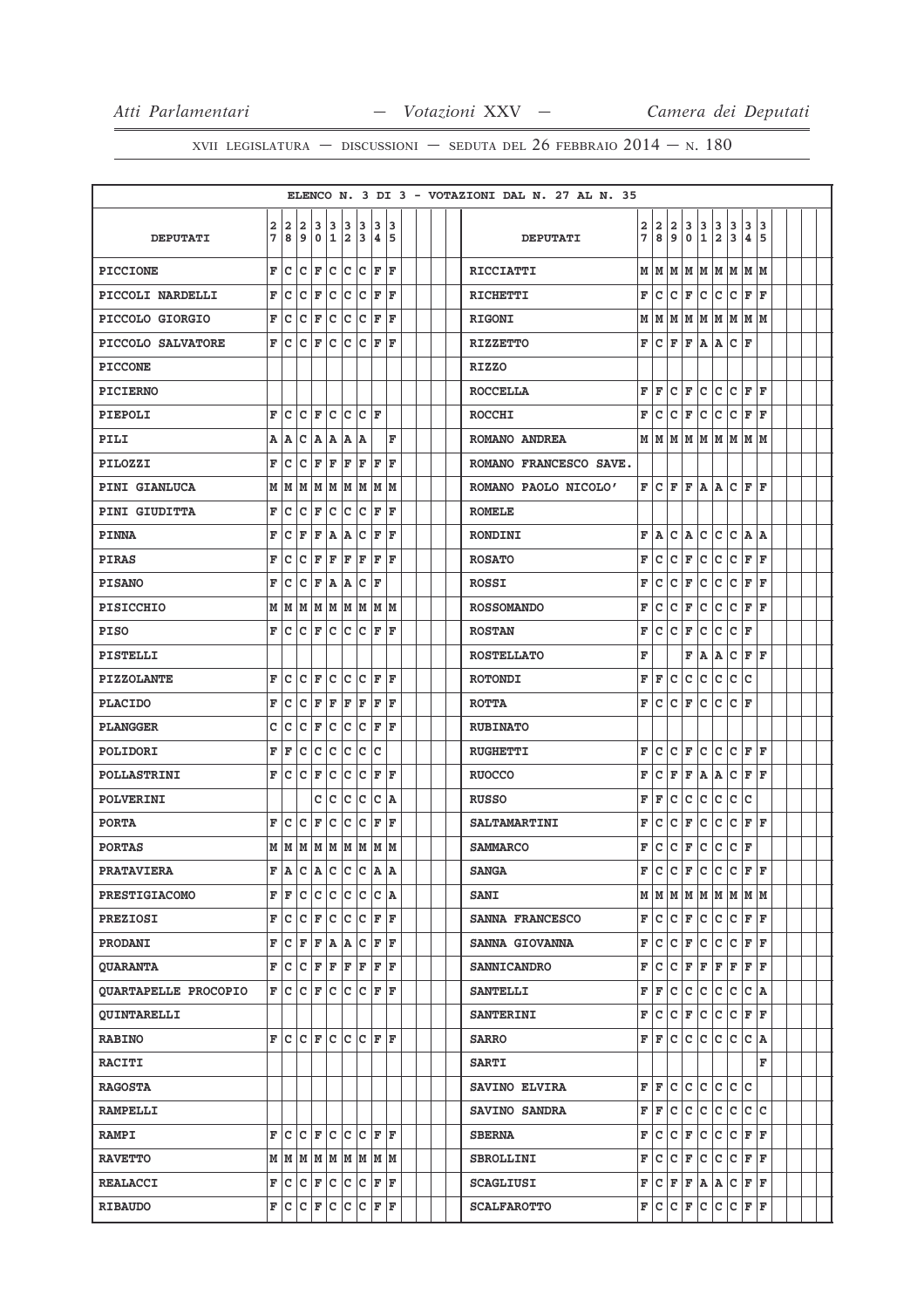|                             |              |     |     |                                     |              |     |                                                              |              |     |  |  | ELENCO N. 3 DI 3 - VOTAZIONI DAL N. 27 AL N. 35 |   |                                               |                |             |             |             |     |                    |     |  |  |
|-----------------------------|--------------|-----|-----|-------------------------------------|--------------|-----|--------------------------------------------------------------|--------------|-----|--|--|-------------------------------------------------|---|-----------------------------------------------|----------------|-------------|-------------|-------------|-----|--------------------|-----|--|--|
|                             | $\mathbf{2}$ | 2   | 12  |                                     | 3 3          | 13  | 3                                                            | 13           | 13  |  |  |                                                 | 2 | 2                                             | $\overline{2}$ | 3           | 3           | 3           | 3   | 3                  | 3   |  |  |
| <b>DEPUTATI</b>             | 7            | 8   | و   | l 0                                 | $\mathbf{1}$ | 2   | 3                                                            | 4 5          |     |  |  | <b>DEPUTATI</b>                                 | 7 | 8                                             | 9              | $\mathbf 0$ | 1           | 2           | 3   | 4                  | 5   |  |  |
| <b>PICCIONE</b>             | F            | c   | c   | F                                   | c            | c   | c                                                            | F            | ΙF  |  |  | <b>RICCIATTI</b>                                |   | M   M   M   M   M   M   M   M                 |                |             |             |             |     |                    |     |  |  |
| PICCOLI NARDELLI            | F            | c   | c   | F                                   | c            | c   | c                                                            | F            | ΙF  |  |  | <b>RICHETTI</b>                                 | F | c                                             | Iс             | F           | lc.         | c           | lc. | F                  | ١F  |  |  |
| PICCOLO GIORGIO             | F            | c   | C   | F                                   | c            | c   | c                                                            | F            | ΙF  |  |  | <b>RIGONI</b>                                   | М | M                                             | lМ             | M           | M           | M           | lм  | M M                |     |  |  |
| PICCOLO SALVATORE           | F            | с   | c   | F                                   | c            | c   | c                                                            | F            | ١F  |  |  | <b>RIZZETTO</b>                                 | F | lc.                                           | F              | F           | A           | Α           | lc. | ΙF                 |     |  |  |
| <b>PICCONE</b>              |              |     |     |                                     |              |     |                                                              |              |     |  |  | <b>RIZZO</b>                                    |   |                                               |                |             |             |             |     |                    |     |  |  |
| <b>PICIERNO</b>             |              |     |     |                                     |              |     |                                                              |              |     |  |  | <b>ROCCELLA</b>                                 | F | l F                                           | c              | F           | lc.         | c           | lc. | F                  | l F |  |  |
| PIEPOLI                     | F            | c   | c   | F                                   | c            | c   | c                                                            | ΙF           |     |  |  | <b>ROCCHI</b>                                   | F | lc.                                           | lc.            | F           | lc.         | c           | lc. | F                  | lF. |  |  |
| PILI                        | Α            | A   | c   | A                                   | A            | A   | A                                                            |              | F   |  |  | ROMANO ANDREA                                   |   | M   M   M   M   M   M   M   M                 |                |             |             |             |     |                    |     |  |  |
| PILOZZI                     | F            | c   | c   | F                                   | $\mathbf F$  | F   | F                                                            | ΙF           | ΙF  |  |  | ROMANO FRANCESCO SAVE.                          |   |                                               |                |             |             |             |     |                    |     |  |  |
| PINI GIANLUCA               | М            | lм  | M   | M                                   | M            | M   | M                                                            | M            | M   |  |  | ROMANO PAOLO NICOLO'                            | F | lc.                                           | ΙF             | F           | A           | Α           | c   | F                  | F   |  |  |
| PINI GIUDITTA               | F            | c   | с   | F                                   | c            | c   | c                                                            | F            | F   |  |  | <b>ROMELE</b>                                   |   |                                               |                |             |             |             |     |                    |     |  |  |
| <b>PINNA</b>                | F            | с   | F   | F                                   | A            | Α   | c                                                            | F            | ΙF  |  |  | <b>RONDINI</b>                                  | F | lA.                                           | c              | lA.         | c           | c           | c   | ١A.                | lA. |  |  |
| <b>PIRAS</b>                | F            | c   | c   | F                                   | F            | F   | F                                                            | F            | ΙF  |  |  | <b>ROSATO</b>                                   | F | c                                             | c              | F           | c           | c           | c   | F                  | l F |  |  |
| <b>PISANO</b>               | F            | с   | C   | F                                   | Α            | A   | c                                                            | F            |     |  |  | <b>ROSSI</b>                                    | F | c                                             | c              | F           | c           | c           | lc. | F                  | ΙF  |  |  |
| PISICCHIO                   | М            | lм  |     | MMMMM                               |              |     |                                                              | M M          |     |  |  | <b>ROSSOMANDO</b>                               | F | c                                             | c              | F           | c           | c           | lc. | F                  | ١F  |  |  |
| <b>PISO</b>                 | F            | c   | c   | F                                   | c            | c   | c                                                            | ΙF           | ΙF  |  |  | <b>ROSTAN</b>                                   | F | c                                             | Iс             | F           | c           | c           | lc. | F                  |     |  |  |
| PISTELLI                    |              |     |     |                                     |              |     |                                                              |              |     |  |  | <b>ROSTELLATO</b>                               | F |                                               |                | F           | A           | Α           | c   | F                  | F   |  |  |
| <b>PIZZOLANTE</b>           | F            | c   | c   | F                                   | c            | с   | c                                                            | F            | ΙF  |  |  | <b>ROTONDI</b>                                  | F | F                                             | с              | c           | c           | c           | c   | lc.                |     |  |  |
| <b>PLACIDO</b>              | F            | c   | c   | F                                   | F            | F   | F                                                            | F            | ΙF  |  |  | <b>ROTTA</b>                                    | F | c                                             | c              | F           | c           | c           | lc. | F                  |     |  |  |
| <b>PLANGGER</b>             | c            | c   | c   | F                                   | c            | c   | c                                                            | F            | F   |  |  | <b>RUBINATO</b>                                 |   |                                               |                |             |             |             |     |                    |     |  |  |
| POLIDORI                    | F            | F   | c   | c                                   | c            | c   | c                                                            | C            |     |  |  | <b>RUGHETTI</b>                                 | F | c                                             | c              | F           | lc.         | c           | lc. | F                  | l F |  |  |
| <b>POLLASTRINI</b>          | F            | Ιc  | c   | F                                   | c            | c   | c                                                            | F            | ΙF  |  |  | <b>RUOCCO</b>                                   | F | c                                             | F              | F           | A           | Α           | lc. | F                  | ١F  |  |  |
| POLVERINI                   |              |     |     | c                                   | c            | c   | c                                                            | c            | A   |  |  | <b>RUSSO</b>                                    | F | F                                             | c              | c           | c           | c           | c   | Iс                 |     |  |  |
| <b>PORTA</b>                | F            | c   | с   | F                                   | c            | c   | c                                                            | F            | ΙF  |  |  | <b>SALTAMARTINI</b>                             | F | c                                             | c              | F           | c           | c           | lc. | F                  | l F |  |  |
| <b>PORTAS</b>               |              | МM  | M   | MM                                  |              | M   | M                                                            | M  M         |     |  |  | <b>SAMMARCO</b>                                 | F | c                                             | c              | F           | c           | c           | lc. | F                  |     |  |  |
| <b>PRATAVIERA</b>           | F            | l A | C   | $ {\bf A} $                         |              | c c | c                                                            | lA.          | ١A  |  |  | <b>SANGA</b>                                    | F | c                                             | c              | F           | c           | $\mathbf c$ | c   | F                  | l F |  |  |
| <b>PRESTIGIACOMO</b>        | F            | F   | lc. | c c                                 |              |     | $ c c c $ a                                                  |              |     |  |  | <b>SANI</b>                                     |   | $M$   $M$   $M$   $M$   $M$   $M$   $M$   $M$ |                |             |             |             |     |                    |     |  |  |
| <b>PREZIOSI</b>             | F            | lc. | c   | $\mathbf{F}$                        | c            |     | c c                                                          | F F          |     |  |  | SANNA FRANCESCO                                 | F | lc.                                           | $ c _F$        |             | c c         |             |     | C F F              |     |  |  |
| PRODANI                     | F            | с   | F   | F                                   | ۱A.          | A   | c                                                            | $\mathbf{F}$ | l F |  |  | SANNA GIOVANNA                                  | F | lc.                                           | lc.            | F           | lc.         | c           | lc. | F                  | lF. |  |  |
| <b>QUARANTA</b>             | F            |     |     | C C F F                             |              | F F |                                                              | F F          |     |  |  | <b>SANNICANDRO</b>                              | F | lc.                                           | $ {\bf C} $ F  |             | F           | F           | F   | F F                |     |  |  |
| <b>QUARTAPELLE PROCOPIO</b> | F            | Iс  | с   | F                                   | c            | c   | c                                                            | F            | ΙF  |  |  | <b>SANTELLI</b>                                 | F | F                                             | c              | c           | Iс          | lc.         | lc. | $ C $ $\mathbf{A}$ |     |  |  |
| <b>QUINTARELLI</b>          |              |     |     |                                     |              |     |                                                              |              |     |  |  | <b>SANTERINI</b>                                | F | Iс                                            | c              | F           | c           | c           | lc. | F                  | ΙF  |  |  |
| <b>RABINO</b>               | F            | lc. |     | $ C $ $\mathbf{F}$                  | lc.          |     | $ {\mathbf{C}}\, {\mathbf{C}}\, {\mathbf{F}}\, {\mathbf{F}}$ |              |     |  |  | <b>SARRO</b>                                    | F | F                                             | lc.            | c           | c           | c           | c   | lc.                | ۱A. |  |  |
| <b>RACITI</b>               |              |     |     |                                     |              |     |                                                              |              |     |  |  | <b>SARTI</b>                                    |   |                                               |                |             |             |             |     |                    | F   |  |  |
| <b>RAGOSTA</b>              |              |     |     |                                     |              |     |                                                              |              |     |  |  | <b>SAVINO ELVIRA</b>                            | F | lF.                                           | lc.            | Iс          | c c         |             | c c |                    |     |  |  |
| <b>RAMPELLI</b>             |              |     |     |                                     |              |     |                                                              |              |     |  |  | <b>SAVINO SANDRA</b>                            | F | l F                                           | c              | c           | c           | c           | lc. | с                  | lc. |  |  |
| <b>RAMPI</b>                | F            |     |     | C C F C C F F F                     |              |     |                                                              |              |     |  |  | <b>SBERNA</b>                                   | F | lc.                                           | $ {\bf C} $ F  |             |             |             |     | C C C F F          |     |  |  |
| <b>RAVETTO</b>              |              |     |     | $M$ $M$ $M$ $M$ $M$ $M$ $M$ $M$ $M$ |              |     |                                                              |              |     |  |  | <b>SBROLLINI</b>                                | F | c                                             | Iс             | F           | lc.         | c           | lc. | F                  | lF. |  |  |
| <b>REALACCI</b>             | F            |     |     | $ c c _F c c c$                     |              |     |                                                              | F F          |     |  |  | <b>SCAGLIUSI</b>                                | F | lc.                                           | F F            |             |             |             |     | A A C F F          |     |  |  |
| <b>RIBAUDO</b>              |              |     |     | F C C F C C                         |              |     | C F F                                                        |              |     |  |  | <b>SCALFAROTTO</b>                              | F | ∣c                                            | C F            |             | $ {\bf c} $ |             |     | C C F F            |     |  |  |